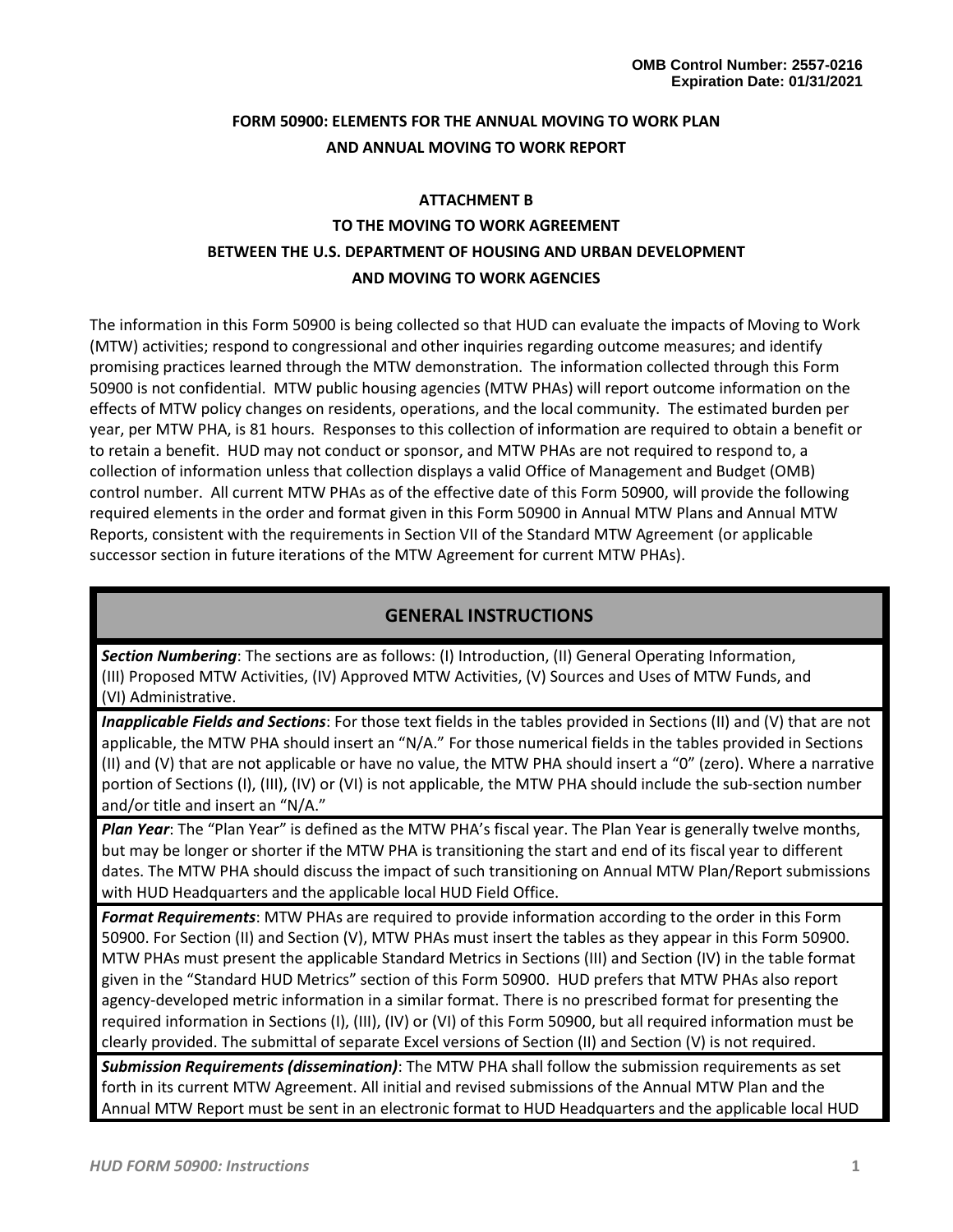# **FORM 50900: ELEMENTS FOR THE ANNUAL MOVING TO WORK PLAN AND ANNUAL MOVING TO WORK REPORT**

# **ATTACHMENT B TO THE MOVING TO WORK AGREEMENT BETWEEN THE U.S. DEPARTMENT OF HOUSING AND URBAN DEVELOPMENT AND MOVING TO WORK AGENCIES**

The information in this Form 50900 is being collected so that HUD can evaluate the impacts of Moving to Work (MTW) activities; respond to congressional and other inquiries regarding outcome measures; and identify promising practices learned through the MTW demonstration. The information collected through this Form 50900 is not confidential. MTW public housing agencies (MTW PHAs) will report outcome information on the effects of MTW policy changes on residents, operations, and the local community. The estimated burden per year, per MTW PHA, is 81 hours. Responses to this collection of information are required to obtain a benefit or to retain a benefit. HUD may not conduct or sponsor, and MTW PHAs are not required to respond to, a collection of information unless that collection displays a valid Office of Management and Budget (OMB) control number. All current MTW PHAs as of the effective date of this Form 50900, will provide the following required elements in the order and format given in this Form 50900 in Annual MTW Plans and Annual MTW Reports, consistent with the requirements in Section VII of the Standard MTW Agreement (or applicable successor section in future iterations of the MTW Agreement for current MTW PHAs).

# **GENERAL INSTRUCTIONS**

*Section Numbering*: The sections are as follows: (I) Introduction, (II) General Operating Information, (III) Proposed MTW Activities, (IV) Approved MTW Activities, (V) Sources and Uses of MTW Funds, and (VI) Administrative.

*Inapplicable Fields and Sections*: For those text fields in the tables provided in Sections (II) and (V) that are not applicable, the MTW PHA should insert an "N/A." For those numerical fields in the tables provided in Sections (II) and (V) that are not applicable or have no value, the MTW PHA should insert a "0" (zero). Where a narrative portion of Sections (I), (III), (IV) or (VI) is not applicable, the MTW PHA should include the sub-section number and/or title and insert an "N/A."

*Plan Year*: The "Plan Year" is defined as the MTW PHA's fiscal year. The Plan Year is generally twelve months, but may be longer or shorter if the MTW PHA is transitioning the start and end of its fiscal year to different dates. The MTW PHA should discuss the impact of such transitioning on Annual MTW Plan/Report submissions with HUD Headquarters and the applicable local HUD Field Office.

*Format Requirements*: MTW PHAs are required to provide information according to the order in this Form 50900. For Section (II) and Section (V), MTW PHAs must insert the tables as they appear in this Form 50900. MTW PHAs must present the applicable Standard Metrics in Sections (III) and Section (IV) in the table format given in the "Standard HUD Metrics" section of this Form 50900. HUD prefers that MTW PHAs also report agency-developed metric information in a similar format. There is no prescribed format for presenting the required information in Sections (I), (III), (IV) or (VI) of this Form 50900, but all required information must be clearly provided. The submittal of separate Excel versions of Section (II) and Section (V) is not required.

*Submission Requirements (dissemination)*: The MTW PHA shall follow the submission requirements as set forth in its current MTW Agreement. All initial and revised submissions of the Annual MTW Plan and the Annual MTW Report must be sent in an electronic format to HUD Headquarters and the applicable local HUD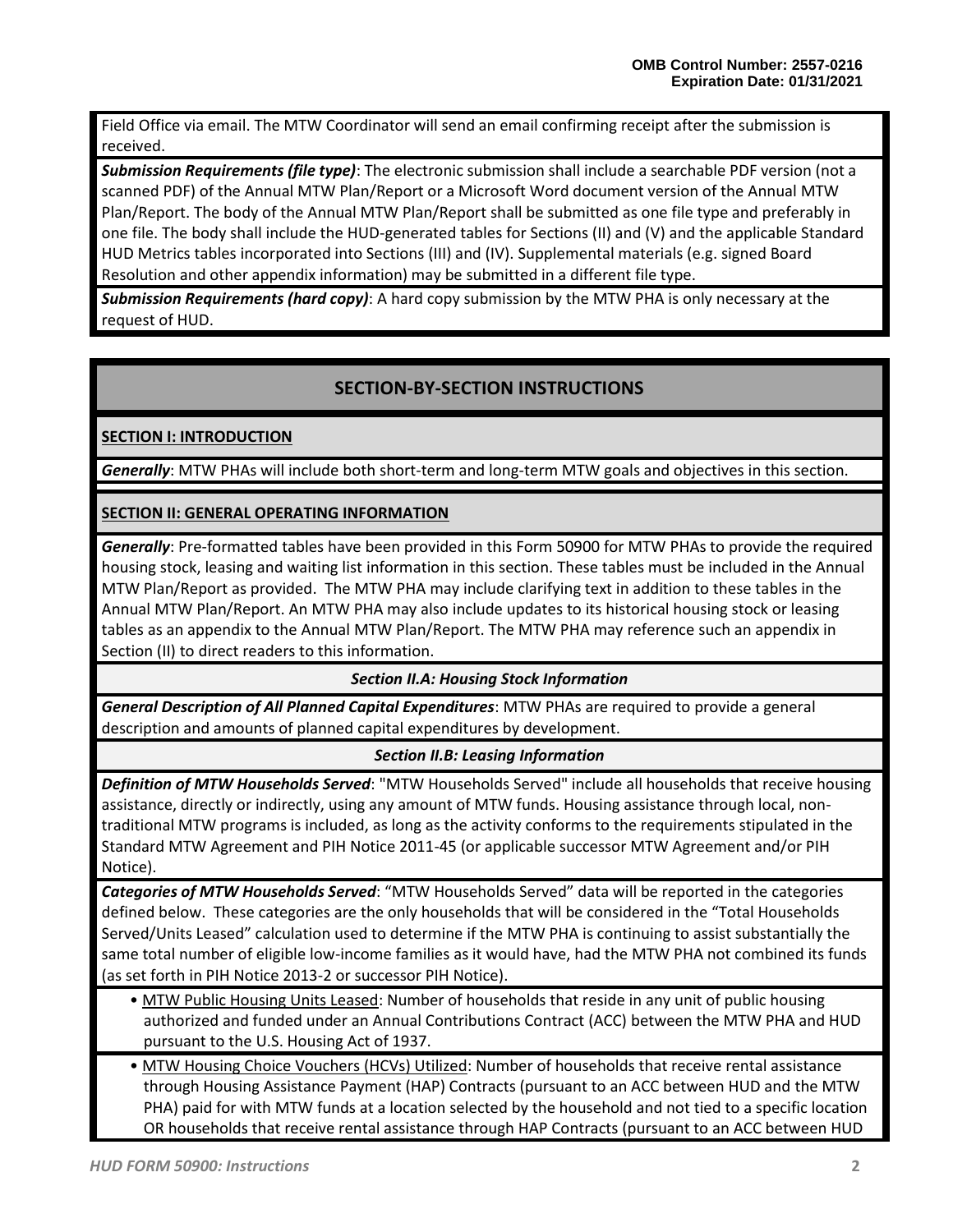Field Office via email. The MTW Coordinator will send an email confirming receipt after the submission is received.

*Submission Requirements (file type)*: The electronic submission shall include a searchable PDF version (not a scanned PDF) of the Annual MTW Plan/Report or a Microsoft Word document version of the Annual MTW Plan/Report. The body of the Annual MTW Plan/Report shall be submitted as one file type and preferably in one file. The body shall include the HUD-generated tables for Sections (II) and (V) and the applicable Standard HUD Metrics tables incorporated into Sections (III) and (IV). Supplemental materials (e.g. signed Board Resolution and other appendix information) may be submitted in a different file type.

*Submission Requirements (hard copy)*: A hard copy submission by the MTW PHA is only necessary at the request of HUD.

# **SECTION-BY-SECTION INSTRUCTIONS**

**SECTION I: INTRODUCTION**

*Generally*: MTW PHAs will include both short-term and long-term MTW goals and objectives in this section.

# **SECTION II: GENERAL OPERATING INFORMATION**

*Generally*: Pre-formatted tables have been provided in this Form 50900 for MTW PHAs to provide the required housing stock, leasing and waiting list information in this section. These tables must be included in the Annual MTW Plan/Report as provided. The MTW PHA may include clarifying text in addition to these tables in the Annual MTW Plan/Report. An MTW PHA may also include updates to its historical housing stock or leasing tables as an appendix to the Annual MTW Plan/Report. The MTW PHA may reference such an appendix in Section (II) to direct readers to this information.

*Section II.A: Housing Stock Information*

*General Description of All Planned Capital Expenditures*: MTW PHAs are required to provide a general description and amounts of planned capital expenditures by development.

## *Section II.B: Leasing Information*

*Definition of MTW Households Served*: "MTW Households Served" include all households that receive housing assistance, directly or indirectly, using any amount of MTW funds. Housing assistance through local, nontraditional MTW programs is included, as long as the activity conforms to the requirements stipulated in the Standard MTW Agreement and PIH Notice 2011-45 (or applicable successor MTW Agreement and/or PIH Notice).

*Categories of MTW Households Served*: "MTW Households Served" data will be reported in the categories defined below. These categories are the only households that will be considered in the "Total Households Served/Units Leased" calculation used to determine if the MTW PHA is continuing to assist substantially the same total number of eligible low-income families as it would have, had the MTW PHA not combined its funds (as set forth in PIH Notice 2013-2 or successor PIH Notice).

- MTW Public Housing Units Leased: Number of households that reside in any unit of public housing authorized and funded under an Annual Contributions Contract (ACC) between the MTW PHA and HUD pursuant to the U.S. Housing Act of 1937.
- MTW Housing Choice Vouchers (HCVs) Utilized: Number of households that receive rental assistance through Housing Assistance Payment (HAP) Contracts (pursuant to an ACC between HUD and the MTW PHA) paid for with MTW funds at a location selected by the household and not tied to a specific location OR households that receive rental assistance through HAP Contracts (pursuant to an ACC between HUD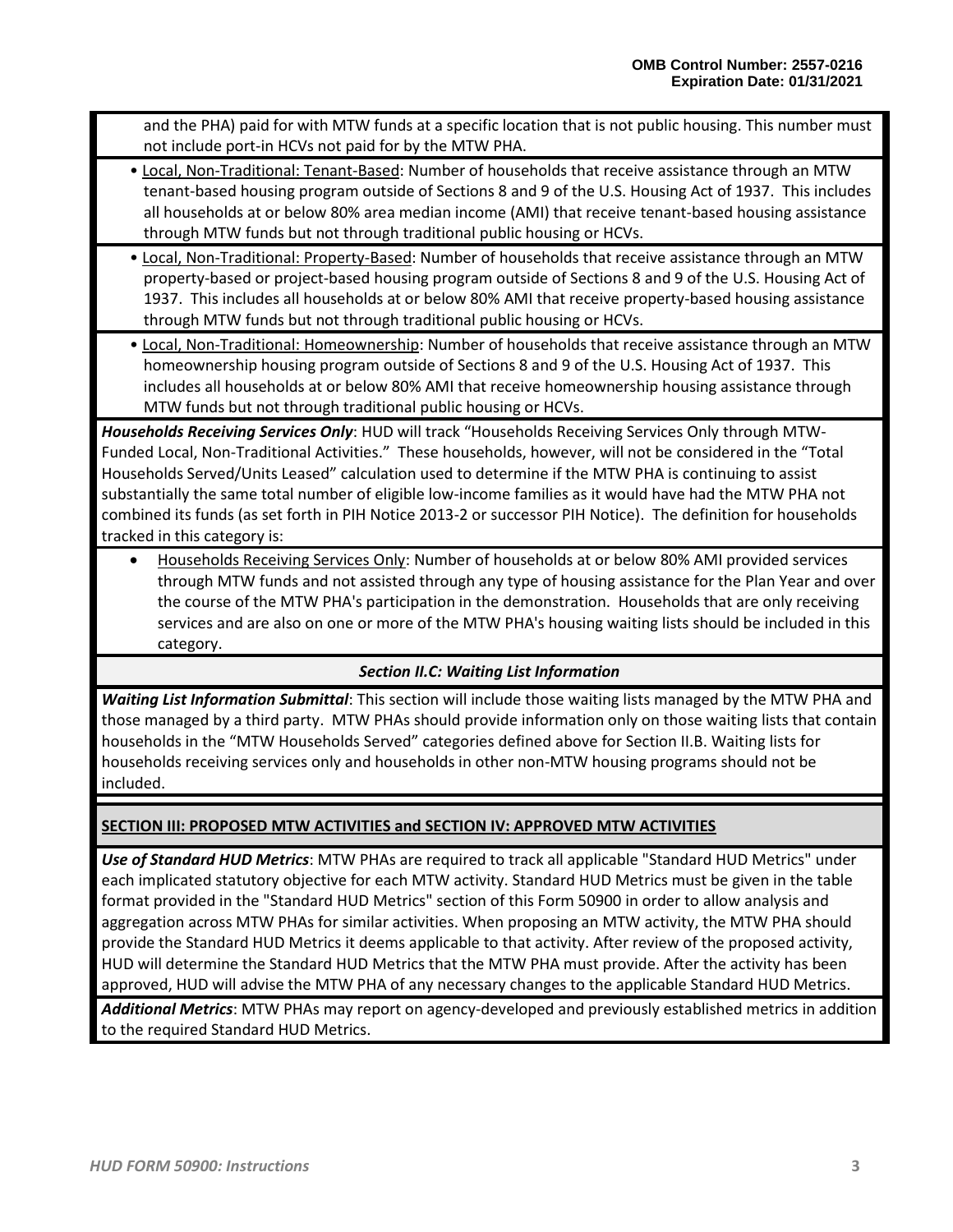and the PHA) paid for with MTW funds at a specific location that is not public housing. This number must not include port-in HCVs not paid for by the MTW PHA.

- Local, Non-Traditional: Tenant-Based: Number of households that receive assistance through an MTW tenant-based housing program outside of Sections 8 and 9 of the U.S. Housing Act of 1937. This includes all households at or below 80% area median income (AMI) that receive tenant-based housing assistance through MTW funds but not through traditional public housing or HCVs.
- Local, Non-Traditional: Property-Based: Number of households that receive assistance through an MTW property-based or project-based housing program outside of Sections 8 and 9 of the U.S. Housing Act of 1937. This includes all households at or below 80% AMI that receive property-based housing assistance through MTW funds but not through traditional public housing or HCVs.
- Local, Non-Traditional: Homeownership: Number of households that receive assistance through an MTW homeownership housing program outside of Sections 8 and 9 of the U.S. Housing Act of 1937. This includes all households at or below 80% AMI that receive homeownership housing assistance through MTW funds but not through traditional public housing or HCVs.

*Households Receiving Services Only*: HUD will track "Households Receiving Services Only through MTW-Funded Local, Non-Traditional Activities." These households, however, will not be considered in the "Total Households Served/Units Leased" calculation used to determine if the MTW PHA is continuing to assist substantially the same total number of eligible low-income families as it would have had the MTW PHA not combined its funds (as set forth in PIH Notice 2013-2 or successor PIH Notice). The definition for households tracked in this category is:

• Households Receiving Services Only: Number of households at or below 80% AMI provided services through MTW funds and not assisted through any type of housing assistance for the Plan Year and over the course of the MTW PHA's participation in the demonstration. Households that are only receiving services and are also on one or more of the MTW PHA's housing waiting lists should be included in this category.

# *Section II.C: Waiting List Information*

*Waiting List Information Submittal*: This section will include those waiting lists managed by the MTW PHA and those managed by a third party. MTW PHAs should provide information only on those waiting lists that contain households in the "MTW Households Served" categories defined above for Section II.B. Waiting lists for households receiving services only and households in other non-MTW housing programs should not be included.

# **SECTION III: PROPOSED MTW ACTIVITIES and SECTION IV: APPROVED MTW ACTIVITIES**

*Use of Standard HUD Metrics*: MTW PHAs are required to track all applicable "Standard HUD Metrics" under each implicated statutory objective for each MTW activity. Standard HUD Metrics must be given in the table format provided in the "Standard HUD Metrics" section of this Form 50900 in order to allow analysis and aggregation across MTW PHAs for similar activities. When proposing an MTW activity, the MTW PHA should provide the Standard HUD Metrics it deems applicable to that activity. After review of the proposed activity, HUD will determine the Standard HUD Metrics that the MTW PHA must provide. After the activity has been approved, HUD will advise the MTW PHA of any necessary changes to the applicable Standard HUD Metrics.

*Additional Metrics*: MTW PHAs may report on agency-developed and previously established metrics in addition to the required Standard HUD Metrics.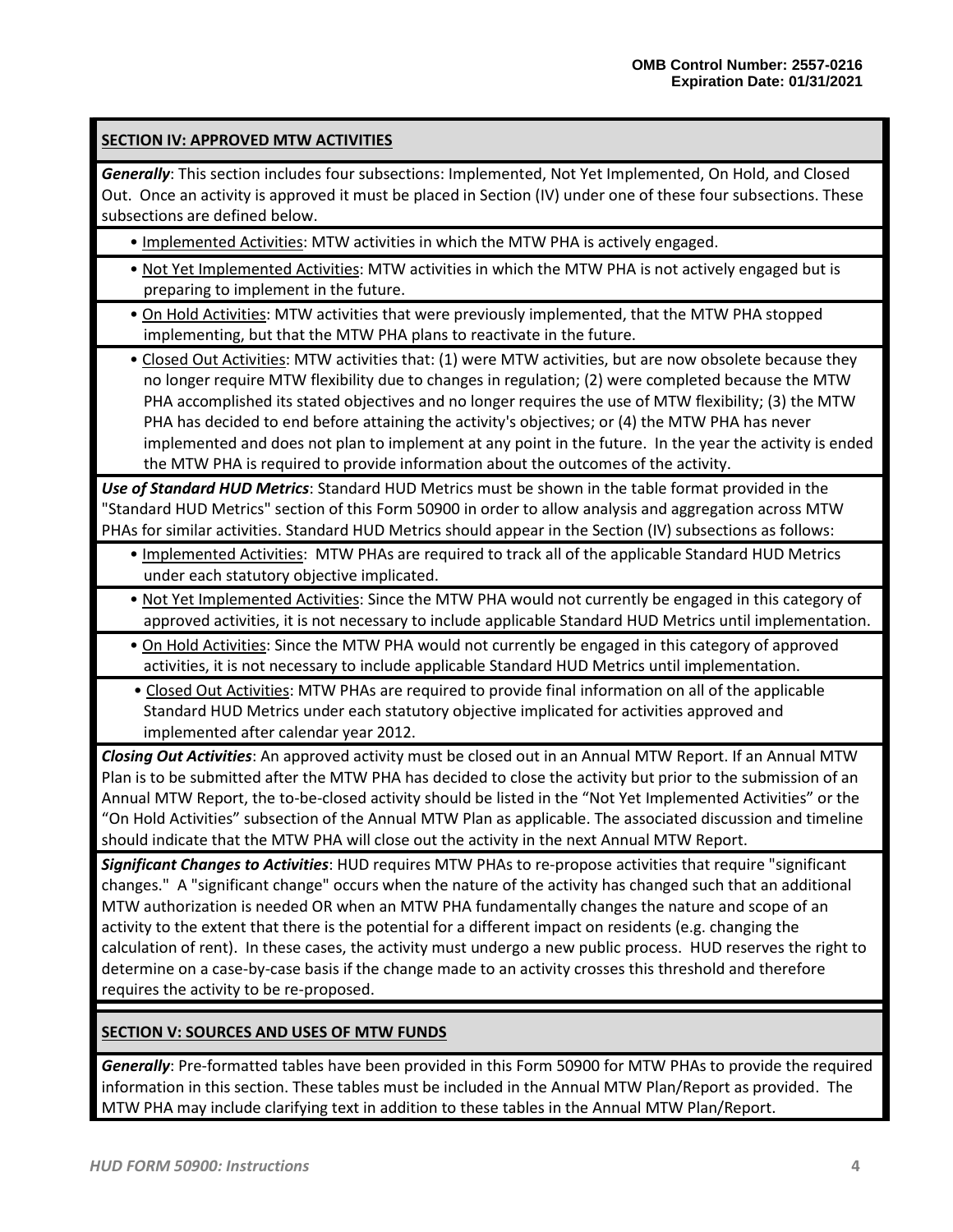# **SECTION IV: APPROVED MTW ACTIVITIES**

*Generally*: This section includes four subsections: Implemented, Not Yet Implemented, On Hold, and Closed Out. Once an activity is approved it must be placed in Section (IV) under one of these four subsections. These subsections are defined below.

- Implemented Activities: MTW activities in which the MTW PHA is actively engaged.
- Not Yet Implemented Activities: MTW activities in which the MTW PHA is not actively engaged but is preparing to implement in the future.
- On Hold Activities: MTW activities that were previously implemented, that the MTW PHA stopped implementing, but that the MTW PHA plans to reactivate in the future.

• Closed Out Activities: MTW activities that: (1) were MTW activities, but are now obsolete because they no longer require MTW flexibility due to changes in regulation; (2) were completed because the MTW PHA accomplished its stated objectives and no longer requires the use of MTW flexibility; (3) the MTW PHA has decided to end before attaining the activity's objectives; or (4) the MTW PHA has never implemented and does not plan to implement at any point in the future. In the year the activity is ended the MTW PHA is required to provide information about the outcomes of the activity.

*Use of Standard HUD Metrics*: Standard HUD Metrics must be shown in the table format provided in the "Standard HUD Metrics" section of this Form 50900 in order to allow analysis and aggregation across MTW PHAs for similar activities. Standard HUD Metrics should appear in the Section (IV) subsections as follows:

- Implemented Activities: MTW PHAs are required to track all of the applicable Standard HUD Metrics under each statutory objective implicated.
- Not Yet Implemented Activities: Since the MTW PHA would not currently be engaged in this category of approved activities, it is not necessary to include applicable Standard HUD Metrics until implementation.
- On Hold Activities: Since the MTW PHA would not currently be engaged in this category of approved activities, it is not necessary to include applicable Standard HUD Metrics until implementation.
- Closed Out Activities: MTW PHAs are required to provide final information on all of the applicable Standard HUD Metrics under each statutory objective implicated for activities approved and implemented after calendar year 2012.

*Closing Out Activities*: An approved activity must be closed out in an Annual MTW Report. If an Annual MTW Plan is to be submitted after the MTW PHA has decided to close the activity but prior to the submission of an Annual MTW Report, the to-be-closed activity should be listed in the "Not Yet Implemented Activities" or the "On Hold Activities" subsection of the Annual MTW Plan as applicable. The associated discussion and timeline should indicate that the MTW PHA will close out the activity in the next Annual MTW Report.

*Significant Changes to Activities*: HUD requires MTW PHAs to re-propose activities that require "significant changes." A "significant change" occurs when the nature of the activity has changed such that an additional MTW authorization is needed OR when an MTW PHA fundamentally changes the nature and scope of an activity to the extent that there is the potential for a different impact on residents (e.g. changing the calculation of rent). In these cases, the activity must undergo a new public process. HUD reserves the right to determine on a case-by-case basis if the change made to an activity crosses this threshold and therefore requires the activity to be re-proposed.

## **SECTION V: SOURCES AND USES OF MTW FUNDS**

*Generally*: Pre-formatted tables have been provided in this Form 50900 for MTW PHAs to provide the required information in this section. These tables must be included in the Annual MTW Plan/Report as provided. The MTW PHA may include clarifying text in addition to these tables in the Annual MTW Plan/Report.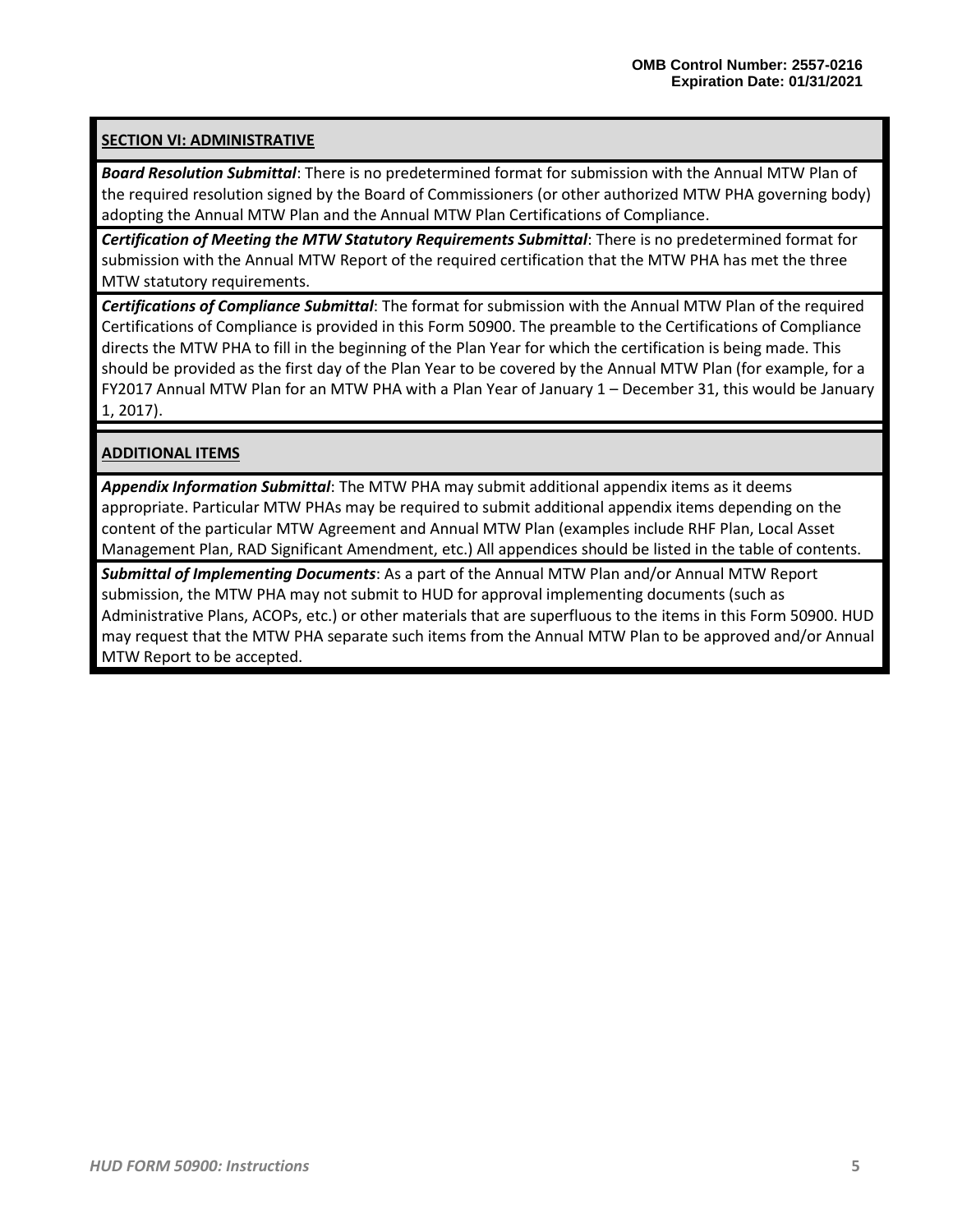# **SECTION VI: ADMINISTRATIVE**

*Board Resolution Submittal*: There is no predetermined format for submission with the Annual MTW Plan of the required resolution signed by the Board of Commissioners (or other authorized MTW PHA governing body) adopting the Annual MTW Plan and the Annual MTW Plan Certifications of Compliance.

*Certification of Meeting the MTW Statutory Requirements Submittal*: There is no predetermined format for submission with the Annual MTW Report of the required certification that the MTW PHA has met the three MTW statutory requirements.

*Certifications of Compliance Submittal*: The format for submission with the Annual MTW Plan of the required Certifications of Compliance is provided in this Form 50900. The preamble to the Certifications of Compliance directs the MTW PHA to fill in the beginning of the Plan Year for which the certification is being made. This should be provided as the first day of the Plan Year to be covered by the Annual MTW Plan (for example, for a FY2017 Annual MTW Plan for an MTW PHA with a Plan Year of January 1 – December 31, this would be January 1, 2017).

# **ADDITIONAL ITEMS**

*Appendix Information Submittal*: The MTW PHA may submit additional appendix items as it deems appropriate. Particular MTW PHAs may be required to submit additional appendix items depending on the content of the particular MTW Agreement and Annual MTW Plan (examples include RHF Plan, Local Asset Management Plan, RAD Significant Amendment, etc.) All appendices should be listed in the table of contents.

*Submittal of Implementing Documents*: As a part of the Annual MTW Plan and/or Annual MTW Report submission, the MTW PHA may not submit to HUD for approval implementing documents (such as Administrative Plans, ACOPs, etc.) or other materials that are superfluous to the items in this Form 50900. HUD may request that the MTW PHA separate such items from the Annual MTW Plan to be approved and/or Annual MTW Report to be accepted.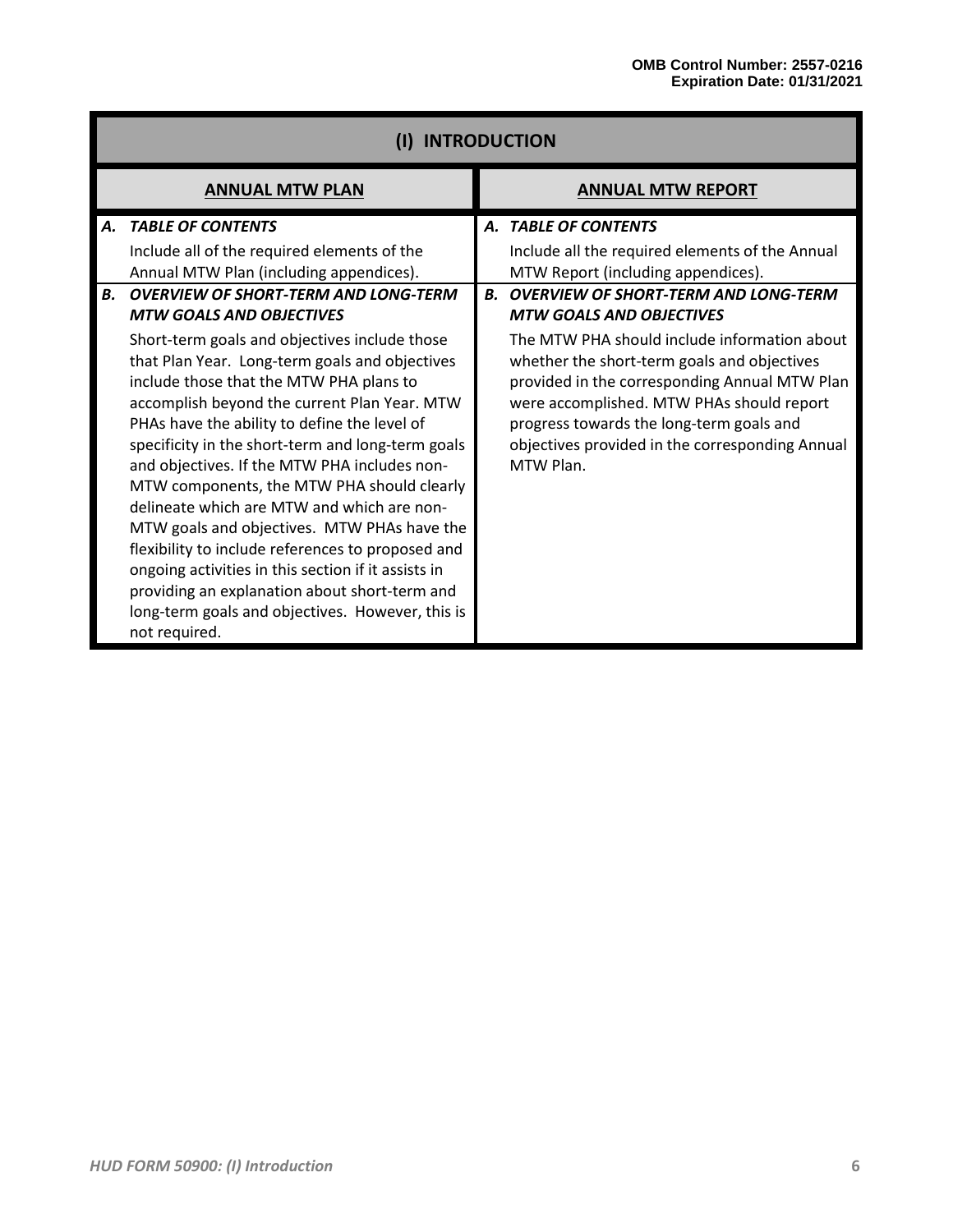|                  | <b>INTRODUCTION</b>                                                                                                                                                                                                                                                                                                                                                                                                                                                            |                |                                                                                                                                                                                                                                                                                                                                                                                                                                          |  |  |  |  |  |  |
|------------------|--------------------------------------------------------------------------------------------------------------------------------------------------------------------------------------------------------------------------------------------------------------------------------------------------------------------------------------------------------------------------------------------------------------------------------------------------------------------------------|----------------|------------------------------------------------------------------------------------------------------------------------------------------------------------------------------------------------------------------------------------------------------------------------------------------------------------------------------------------------------------------------------------------------------------------------------------------|--|--|--|--|--|--|
|                  | <b>ANNUAL MTW PLAN</b>                                                                                                                                                                                                                                                                                                                                                                                                                                                         |                | <b>ANNUAL MTW REPORT</b>                                                                                                                                                                                                                                                                                                                                                                                                                 |  |  |  |  |  |  |
| <b>A</b> .<br>В. | <b>TABLE OF CONTENTS</b><br>Include all of the required elements of the<br>Annual MTW Plan (including appendices).<br><b>OVERVIEW OF SHORT-TERM AND LONG-TERM</b><br><b>MTW GOALS AND OBJECTIVES</b><br>Short-term goals and objectives include those<br>that Plan Year. Long-term goals and objectives<br>include those that the MTW PHA plans to<br>accomplish beyond the current Plan Year. MTW<br>PHAs have the ability to define the level of                             | $\mathbf{B}$ . | A. TABLE OF CONTENTS<br>Include all the required elements of the Annual<br>MTW Report (including appendices).<br><b>OVERVIEW OF SHORT-TERM AND LONG-TERM</b><br><b>MTW GOALS AND OBJECTIVES</b><br>The MTW PHA should include information about<br>whether the short-term goals and objectives<br>provided in the corresponding Annual MTW Plan<br>were accomplished. MTW PHAs should report<br>progress towards the long-term goals and |  |  |  |  |  |  |
|                  | specificity in the short-term and long-term goals<br>and objectives. If the MTW PHA includes non-<br>MTW components, the MTW PHA should clearly<br>delineate which are MTW and which are non-<br>MTW goals and objectives. MTW PHAs have the<br>flexibility to include references to proposed and<br>ongoing activities in this section if it assists in<br>providing an explanation about short-term and<br>long-term goals and objectives. However, this is<br>not required. |                | objectives provided in the corresponding Annual<br>MTW Plan.                                                                                                                                                                                                                                                                                                                                                                             |  |  |  |  |  |  |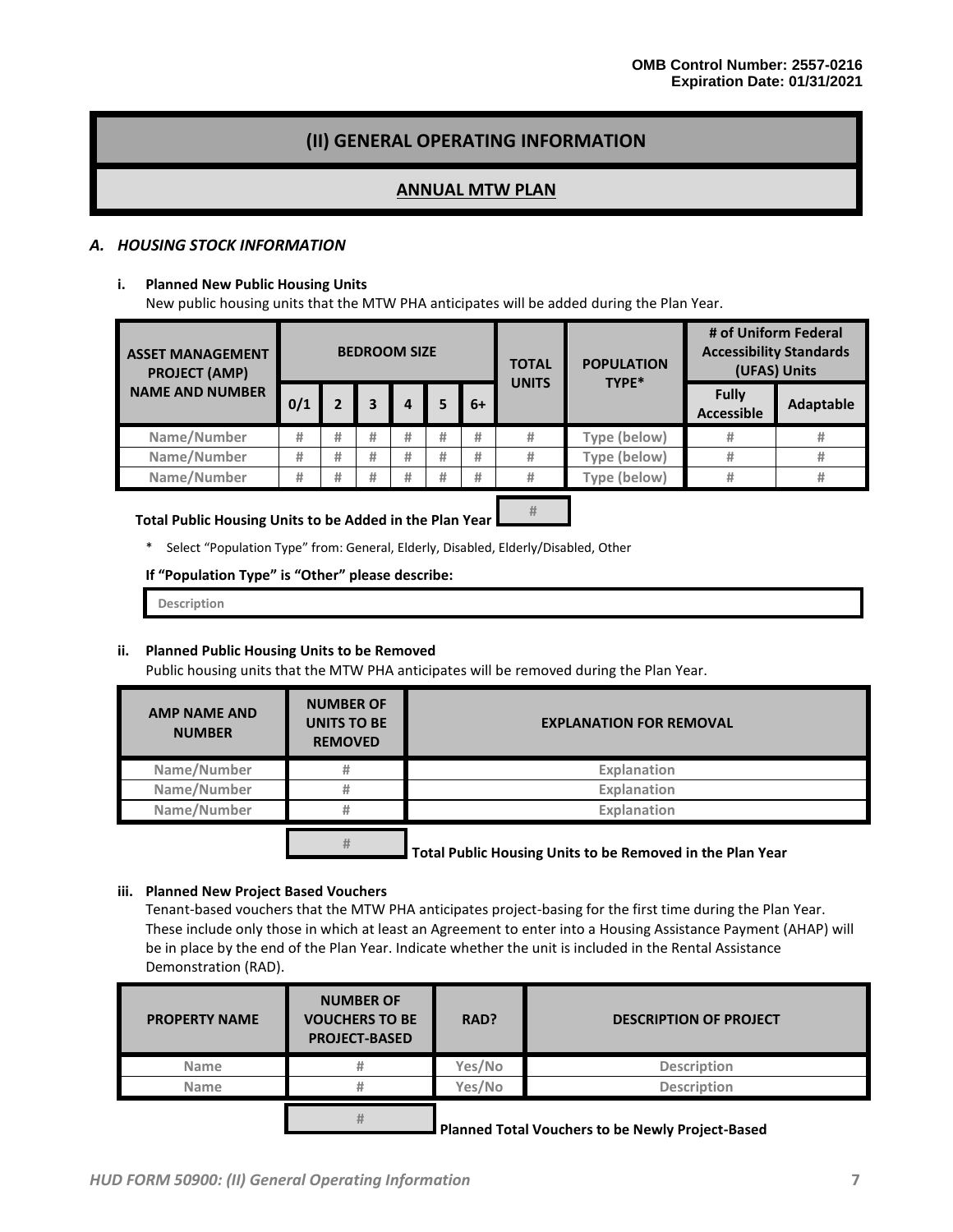# **(II) GENERAL OPERATING INFORMATION**

### **ANNUAL MTW PLAN**

#### *A. HOUSING STOCK INFORMATION*

#### **i. Planned New Public Housing Units**

New public housing units that the MTW PHA anticipates will be added during the Plan Year.

| <b>ASSET MANAGEMENT</b><br><b>PROJECT (AMP)</b> | <b>BEDROOM SIZE</b> |   |   |   |   | <b>POPULATION</b><br><b>TOTAL</b><br>TYPE*<br><b>UNITS</b> |   | # of Uniform Federal<br><b>Accessibility Standards</b><br>(UFAS) Units |                                   |           |
|-------------------------------------------------|---------------------|---|---|---|---|------------------------------------------------------------|---|------------------------------------------------------------------------|-----------------------------------|-----------|
| <b>NAME AND NUMBER</b>                          | 0/1                 |   |   |   |   | $6+$                                                       |   |                                                                        | <b>Fully</b><br><b>Accessible</b> | Adaptable |
| Name/Number                                     | #                   | # | # | # | # | #                                                          | # | Type (below)                                                           |                                   |           |
| Name/Number                                     | #                   | # | # | # | # | #                                                          | # | Type (below)                                                           |                                   |           |
| Name/Number                                     | #                   | # | # | # | # | #                                                          | # | Type (below)                                                           |                                   | #         |

**#**

#### **Total Public Housing Units to be Added in the Plan Year**

\* Select "Population Type" from: General, Elderly, Disabled, Elderly/Disabled, Other

#### **If "Population Type" is "Other" please describe:**

**Description**

#### **ii. Planned Public Housing Units to be Removed**

Public housing units that the MTW PHA anticipates will be removed during the Plan Year.

| <b>AMP NAME AND</b><br><b>NUMBER</b> | <b>NUMBER OF</b><br><b>UNITS TO BE</b><br><b>REMOVED</b> | <b>EXPLANATION FOR REMOVAL</b> |
|--------------------------------------|----------------------------------------------------------|--------------------------------|
| Name/Number                          | #                                                        | Explanation                    |
| Name/Number                          | Ħ                                                        | Explanation                    |
| Name/Number                          | #                                                        | Explanation                    |
|                                      | ᅭ                                                        |                                |

**Total Public Housing Units to be Removed in the Plan Year #**

#### **iii. Planned New Project Based Vouchers**

Tenant-based vouchers that the MTW PHA anticipates project-basing for the first time during the Plan Year. These include only those in which at least an Agreement to enter into a Housing Assistance Payment (AHAP) will be in place by the end of the Plan Year. Indicate whether the unit is included in the Rental Assistance Demonstration (RAD).

| <b>PROPERTY NAME</b> | <b>NUMBER OF</b><br><b>VOUCHERS TO BE</b><br><b>PROJECT-BASED</b> | RAD?   | <b>DESCRIPTION OF PROJECT</b>                    |
|----------------------|-------------------------------------------------------------------|--------|--------------------------------------------------|
| <b>Name</b>          | Ħ                                                                 | Yes/No | <b>Description</b>                               |
| <b>Name</b>          | Ħ                                                                 | Yes/No | <b>Description</b>                               |
|                      | #                                                                 |        | Planned Total Vouchers to be Newly Project-Based |

*HUD FORM 50900: (II) General Operating Information* **7**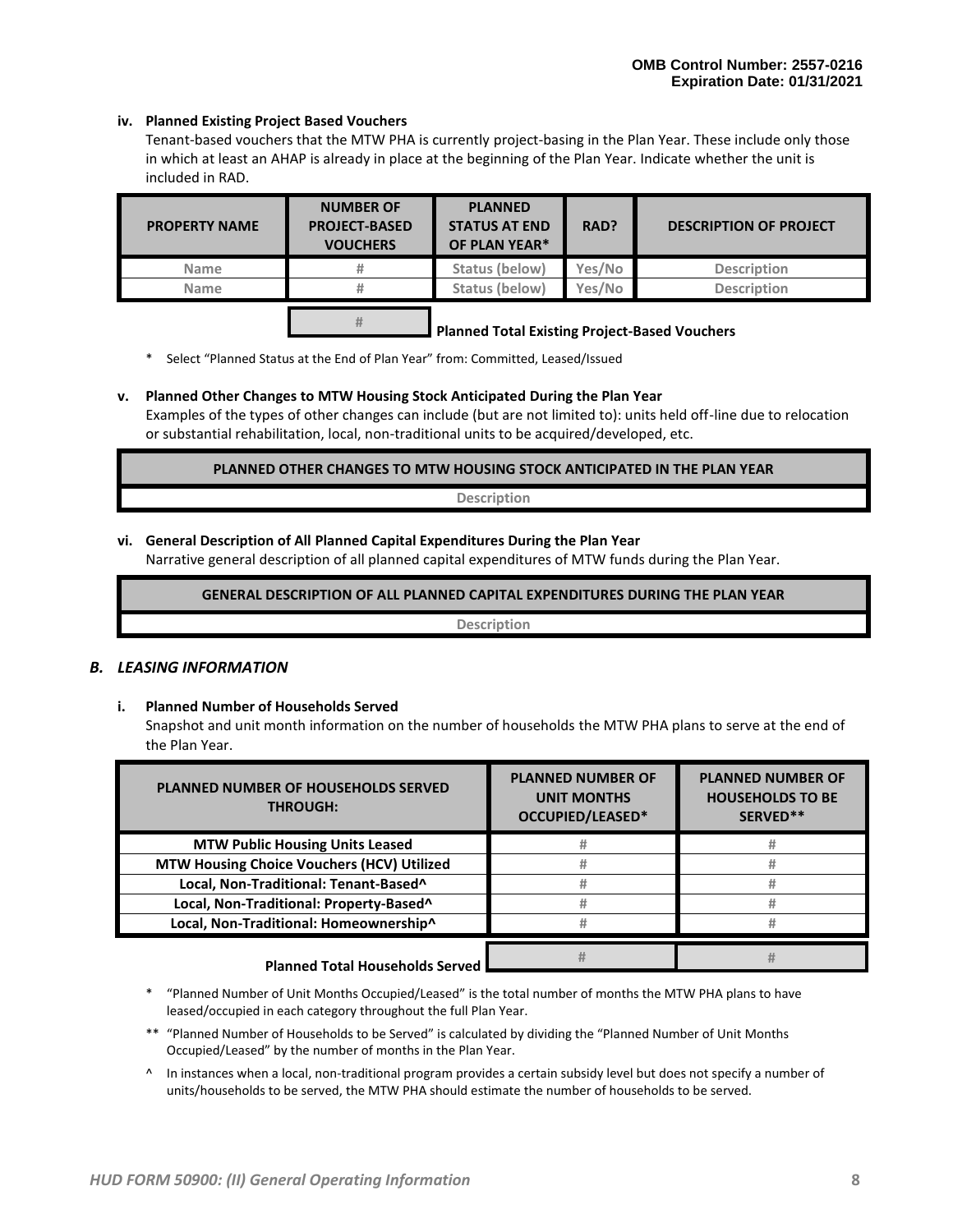#### **iv. Planned Existing Project Based Vouchers**

Tenant-based vouchers that the MTW PHA is currently project-basing in the Plan Year. These include only those in which at least an AHAP is already in place at the beginning of the Plan Year. Indicate whether the unit is included in RAD.

| <b>PROPERTY NAME</b> | <b>NUMBER OF</b><br><b>PROJECT-BASED</b><br><b>VOUCHERS</b> | <b>PLANNED</b><br><b>STATUS AT END</b><br>OF PLAN YEAR* | RAD?   | <b>DESCRIPTION OF PROJECT</b> |
|----------------------|-------------------------------------------------------------|---------------------------------------------------------|--------|-------------------------------|
| <b>Name</b>          | #                                                           | Status (below)                                          | Yes/No | <b>Description</b>            |
| <b>Name</b>          |                                                             | Status (below)                                          | Yes/No | <b>Description</b>            |
|                      |                                                             | <b>Dlanned Total Evicting Droiget Bacod Vouchors</b>    |        |                               |

#### **Planned Total Existing Project-Based Vouchers**

\* Select "Planned Status at the End of Plan Year" from: Committed, Leased/Issued

#### **v. Planned Other Changes to MTW Housing Stock Anticipated During the Plan Year**

Examples of the types of other changes can include (but are not limited to): units held off-line due to relocation or substantial rehabilitation, local, non-traditional units to be acquired/developed, etc.

**PLANNED OTHER CHANGES TO MTW HOUSING STOCK ANTICIPATED IN THE PLAN YEAR**

**Description**

#### **vi. General Description of All Planned Capital Expenditures During the Plan Year**

Narrative general description of all planned capital expenditures of MTW funds during the Plan Year.

**GENERAL DESCRIPTION OF ALL PLANNED CAPITAL EXPENDITURES DURING THE PLAN YEAR**

**Description**

#### *B. LEASING INFORMATION*

**i. Planned Number of Households Served** Snapshot and unit month information on the number of households the MTW PHA plans to serve at the end of the Plan Year.

| <b>PLANNED NUMBER OF HOUSEHOLDS SERVED</b><br><b>THROUGH:</b> | <b>PLANNED NUMBER OF</b><br><b>UNIT MONTHS</b><br>OCCUPIED/LEASED* | <b>PLANNED NUMBER OF</b><br><b>HOUSEHOLDS TO BE</b><br>SERVED** |  |
|---------------------------------------------------------------|--------------------------------------------------------------------|-----------------------------------------------------------------|--|
| <b>MTW Public Housing Units Leased</b>                        |                                                                    |                                                                 |  |
| MTW Housing Choice Vouchers (HCV) Utilized                    |                                                                    |                                                                 |  |
| Local, Non-Traditional: Tenant-Based^                         |                                                                    |                                                                 |  |
| Local, Non-Traditional: Property-Based^                       |                                                                    |                                                                 |  |
| Local, Non-Traditional: Homeownership^                        |                                                                    |                                                                 |  |
| <b>Dlonned Total Households Conrod</b>                        |                                                                    |                                                                 |  |

#### **Planned Total Households Served**

- \* "Planned Number of Unit Months Occupied/Leased" is the total number of months the MTW PHA plans to have leased/occupied in each category throughout the full Plan Year.
- \*\* "Planned Number of Households to be Served" is calculated by dividing the "Planned Number of Unit Months Occupied/Leased" by the number of months in the Plan Year.
- ^ In instances when a local, non-traditional program provides a certain subsidy level but does not specify a number of units/households to be served, the MTW PHA should estimate the number of households to be served.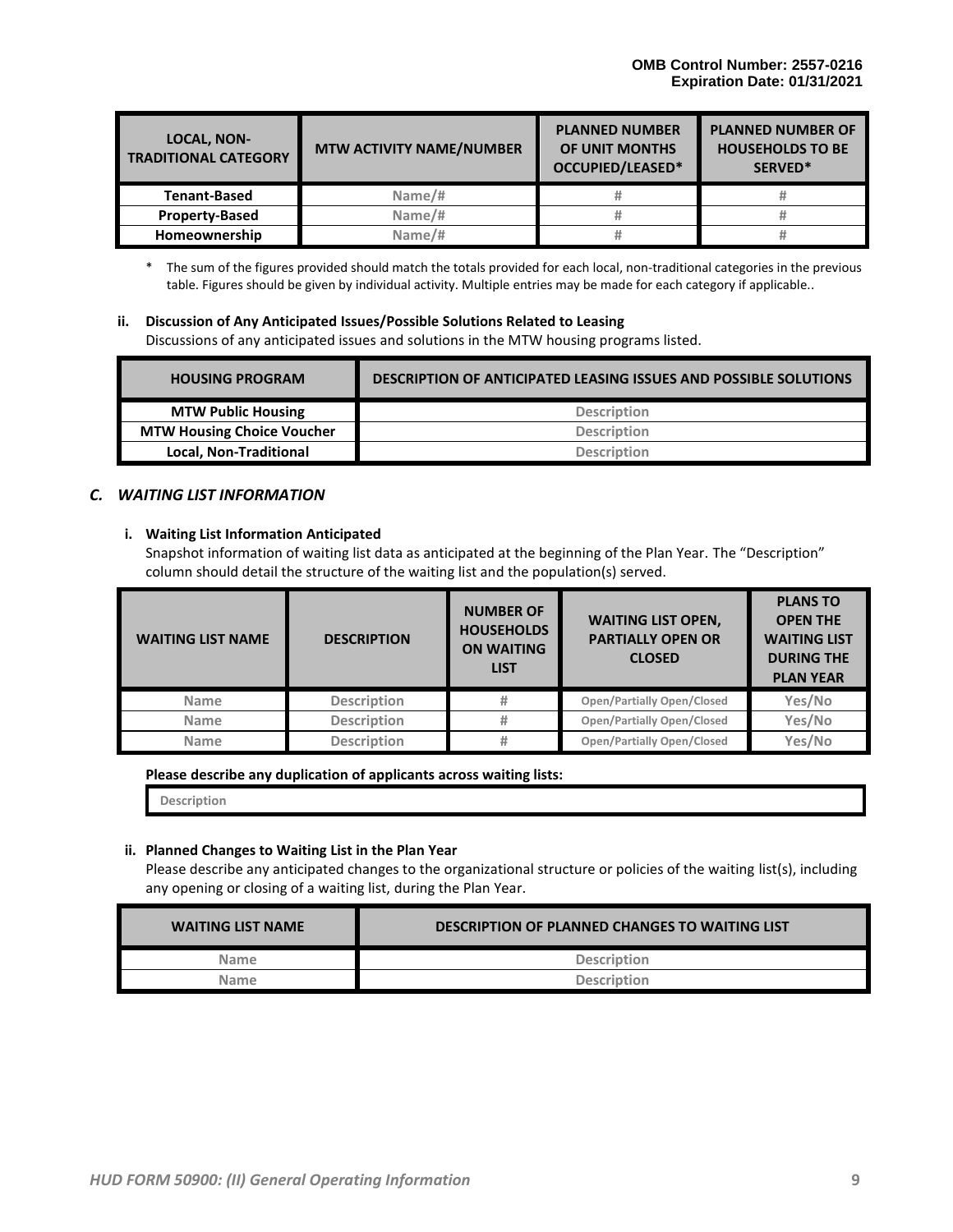| <b>LOCAL, NON-</b><br><b>TRADITIONAL CATEGORY</b> | <b>MTW ACTIVITY NAME/NUMBER</b> | <b>PLANNED NUMBER</b><br>OF UNIT MONTHS<br>OCCUPIED/LEASED* | <b>PLANNED NUMBER OF</b><br><b>HOUSEHOLDS TO BE</b><br>SERVED* |  |
|---------------------------------------------------|---------------------------------|-------------------------------------------------------------|----------------------------------------------------------------|--|
| <b>Tenant-Based</b>                               | Name/#                          |                                                             |                                                                |  |
| <b>Property-Based</b>                             | Name/#                          |                                                             |                                                                |  |
| Homeownership                                     | Name/#                          |                                                             |                                                                |  |

\* The sum of the figures provided should match the totals provided for each local, non-traditional categories in the previous table. Figures should be given by individual activity. Multiple entries may be made for each category if applicable..

**ii. Discussion of Any Anticipated Issues/Possible Solutions Related to Leasing** Discussions of any anticipated issues and solutions in the MTW housing programs listed.

| <b>HOUSING PROGRAM</b>            | <b>DESCRIPTION OF ANTICIPATED LEASING ISSUES AND POSSIBLE SOLUTIONS</b> |
|-----------------------------------|-------------------------------------------------------------------------|
| <b>MTW Public Housing</b>         | <b>Description</b>                                                      |
| <b>MTW Housing Choice Voucher</b> | <b>Description</b>                                                      |
| <b>Local, Non-Traditional</b>     | <b>Description</b>                                                      |

#### *C. WAITING LIST INFORMATION*

#### **i. Waiting List Information Anticipated**

Snapshot information of waiting list data as anticipated at the beginning of the Plan Year. The "Description" column should detail the structure of the waiting list and the population(s) served.

| <b>WAITING LIST NAME</b>          | <b>DESCRIPTION</b> | <b>NUMBER OF</b><br><b>HOUSEHOLDS</b><br><b>ON WAITING</b><br><b>LIST</b> | <b>WAITING LIST OPEN,</b><br><b>PARTIALLY OPEN OR</b><br><b>CLOSED</b> | <b>PLANS TO</b><br><b>OPEN THE</b><br><b>WAITING LIST</b><br><b>DURING THE</b><br><b>PLAN YEAR</b> |
|-----------------------------------|--------------------|---------------------------------------------------------------------------|------------------------------------------------------------------------|----------------------------------------------------------------------------------------------------|
| <b>Name</b>                       | <b>Description</b> | #                                                                         | <b>Open/Partially Open/Closed</b>                                      | Yes/No                                                                                             |
| <b>Description</b><br><b>Name</b> |                    | <b>Open/Partially Open/Closed</b><br>#                                    |                                                                        | Yes/No                                                                                             |
| <b>Name</b>                       | <b>Description</b> | #                                                                         | <b>Open/Partially Open/Closed</b>                                      | Yes/No                                                                                             |

**Please describe any duplication of applicants across waiting lists:**

**Description**

#### **ii. Planned Changes to Waiting List in the Plan Year**

Please describe any anticipated changes to the organizational structure or policies of the waiting list(s), including any opening or closing of a waiting list, during the Plan Year.

| <b>WAITING LIST NAME</b> | <b>DESCRIPTION OF PLANNED CHANGES TO WAITING LIST</b> |
|--------------------------|-------------------------------------------------------|
| <b>Name</b>              | <b>Description</b>                                    |
| <b>Name</b>              | <b>Description</b>                                    |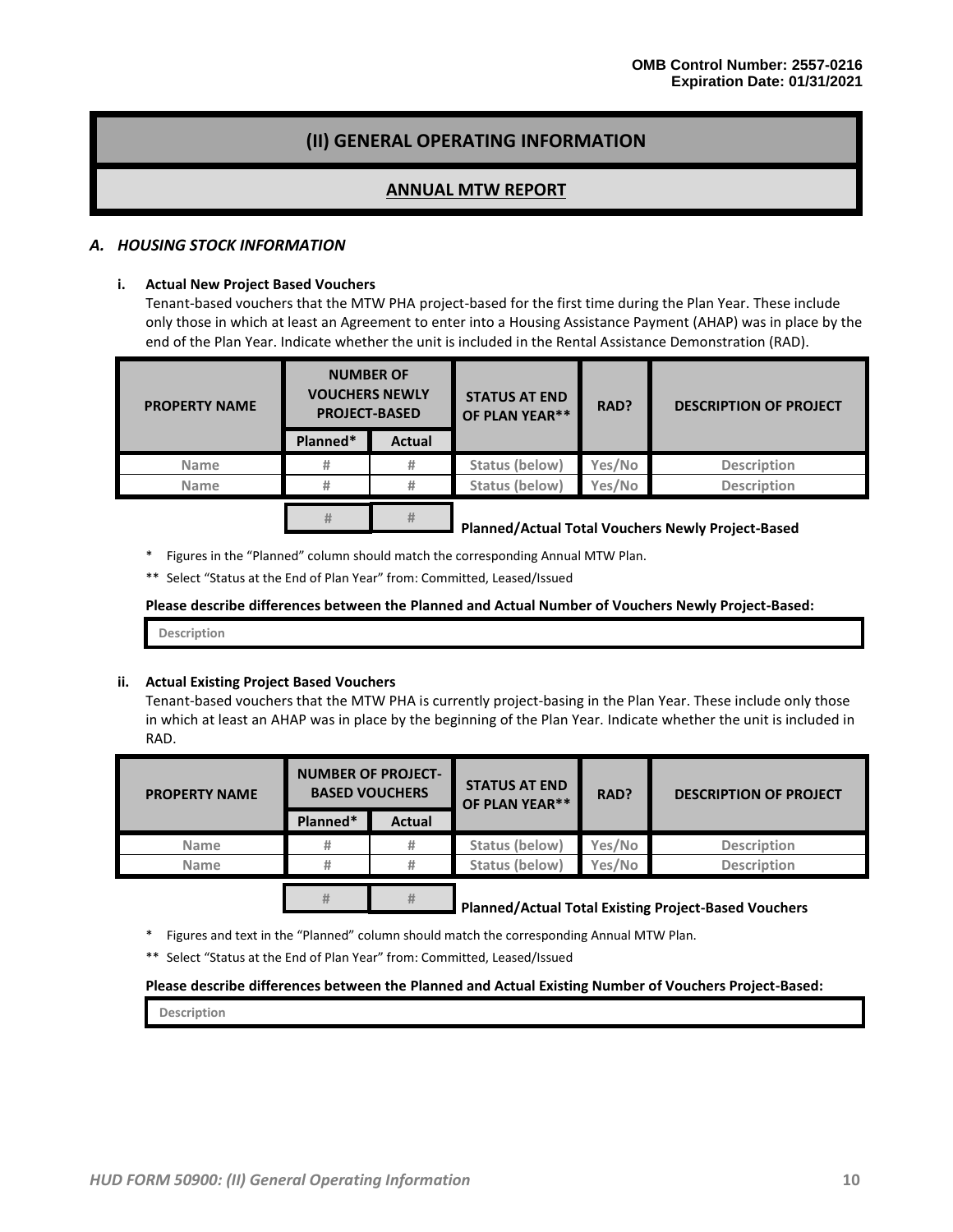# **(II) GENERAL OPERATING INFORMATION**

### **ANNUAL MTW REPORT**

#### *A. HOUSING STOCK INFORMATION*

#### **i. Actual New Project Based Vouchers**

Tenant-based vouchers that the MTW PHA project-based for the first time during the Plan Year. These include only those in which at least an Agreement to enter into a Housing Assistance Payment (AHAP) was in place by the end of the Plan Year. Indicate whether the unit is included in the Rental Assistance Demonstration (RAD).

| <b>PROPERTY NAME</b> | <b>NUMBER OF</b><br><b>VOUCHERS NEWLY</b><br><b>PROJECT-BASED</b> |               | <b>STATUS AT END</b><br>OF PLAN YEAR** | RAD?   | <b>DESCRIPTION OF PROJECT</b> |  |
|----------------------|-------------------------------------------------------------------|---------------|----------------------------------------|--------|-------------------------------|--|
|                      | Planned*                                                          | <b>Actual</b> |                                        |        |                               |  |
| <b>Name</b>          |                                                                   | #             | Status (below)                         | Yes/No | <b>Description</b>            |  |
| <b>Name</b>          |                                                                   | #             | Status (below)                         | Yes/No | <b>Description</b>            |  |
|                      |                                                                   |               |                                        |        |                               |  |

 **Planned/Actual Total Vouchers Newly Project-Based**

\* Figures in the "Planned" column should match the corresponding Annual MTW Plan.

**#**

\*\* Select "Status at the End of Plan Year" from: Committed, Leased/Issued

**#**

**Please describe differences between the Planned and Actual Number of Vouchers Newly Project-Based:**

**Description**

#### **ii. Actual Existing Project Based Vouchers**

Tenant-based vouchers that the MTW PHA is currently project-basing in the Plan Year. These include only those in which at least an AHAP was in place by the beginning of the Plan Year. Indicate whether the unit is included in RAD.

| <b>PROPERTY NAME</b> | <b>NUMBER OF PROJECT-</b><br><b>BASED VOUCHERS</b> |               | <b>STATUS AT END</b><br>OF PLAN YEAR** | RAD?   | <b>DESCRIPTION OF PROJECT</b>                         |  |
|----------------------|----------------------------------------------------|---------------|----------------------------------------|--------|-------------------------------------------------------|--|
|                      | Planned*                                           | <b>Actual</b> |                                        |        |                                                       |  |
| <b>Name</b>          |                                                    | #             | Status (below)                         | Yes/No | <b>Description</b>                                    |  |
| <b>Name</b>          |                                                    | #             | Status (below)                         | Yes/No | <b>Description</b>                                    |  |
|                      | #                                                  | #             |                                        |        | Dlannad (Actual Total Evicting Duaiset Desad Vaushous |  |

 **Planned/Actual Total Existing Project-Based Vouchers #**

Figures and text in the "Planned" column should match the corresponding Annual MTW Plan.

\*\* Select "Status at the End of Plan Year" from: Committed, Leased/Issued

#### **Please describe differences between the Planned and Actual Existing Number of Vouchers Project-Based:**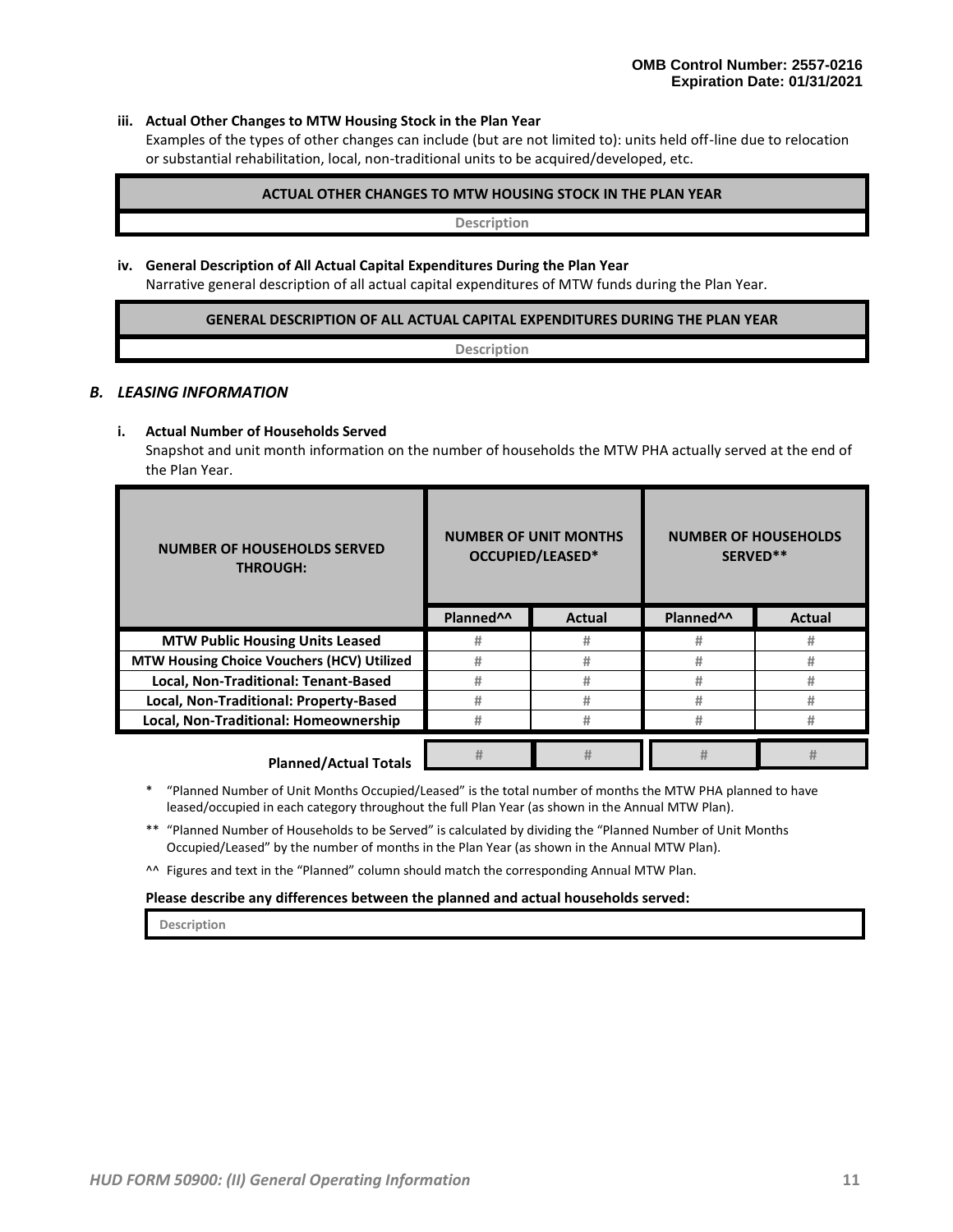#### **iii. Actual Other Changes to MTW Housing Stock in the Plan Year**

Examples of the types of other changes can include (but are not limited to): units held off-line due to relocation or substantial rehabilitation, local, non-traditional units to be acquired/developed, etc.

#### **ACTUAL OTHER CHANGES TO MTW HOUSING STOCK IN THE PLAN YEAR**

**Description**

#### **iv. General Description of All Actual Capital Expenditures During the Plan Year**

Narrative general description of all actual capital expenditures of MTW funds during the Plan Year.

#### **GENERAL DESCRIPTION OF ALL ACTUAL CAPITAL EXPENDITURES DURING THE PLAN YEAR**

**Description**

#### *B. LEASING INFORMATION*

#### **i. Actual Number of Households Served**

Snapshot and unit month information on the number of households the MTW PHA actually served at the end of the Plan Year.

| <b>NUMBER OF HOUSEHOLDS SERVED</b><br><b>THROUGH:</b> |                       | <b>NUMBER OF UNIT MONTHS</b><br>OCCUPIED/LEASED* | <b>NUMBER OF HOUSEHOLDS</b><br>SERVED** |               |
|-------------------------------------------------------|-----------------------|--------------------------------------------------|-----------------------------------------|---------------|
|                                                       | Planned <sup>^^</sup> | Actual                                           | Planned <sup>^^</sup>                   | <b>Actual</b> |
| <b>MTW Public Housing Units Leased</b>                | #                     | #                                                | #                                       | #             |
| <b>MTW Housing Choice Vouchers (HCV) Utilized</b>     | #                     | #                                                | #                                       | #             |
| Local, Non-Traditional: Tenant-Based                  | #                     | #                                                | #                                       | #             |
| Local, Non-Traditional: Property-Based                | #                     | #                                                | #                                       | #             |
| Local, Non-Traditional: Homeownership                 | #                     | #                                                | #                                       |               |
|                                                       | Ħ                     | #                                                | #                                       |               |

- \* "Planned Number of Unit Months Occupied/Leased" is the total number of months the MTW PHA planned to have leased/occupied in each category throughout the full Plan Year (as shown in the Annual MTW Plan).
- \*\* "Planned Number of Households to be Served" is calculated by dividing the "Planned Number of Unit Months Occupied/Leased" by the number of months in the Plan Year (as shown in the Annual MTW Plan).

^^ Figures and text in the "Planned" column should match the corresponding Annual MTW Plan.

#### **Please describe any differences between the planned and actual households served:**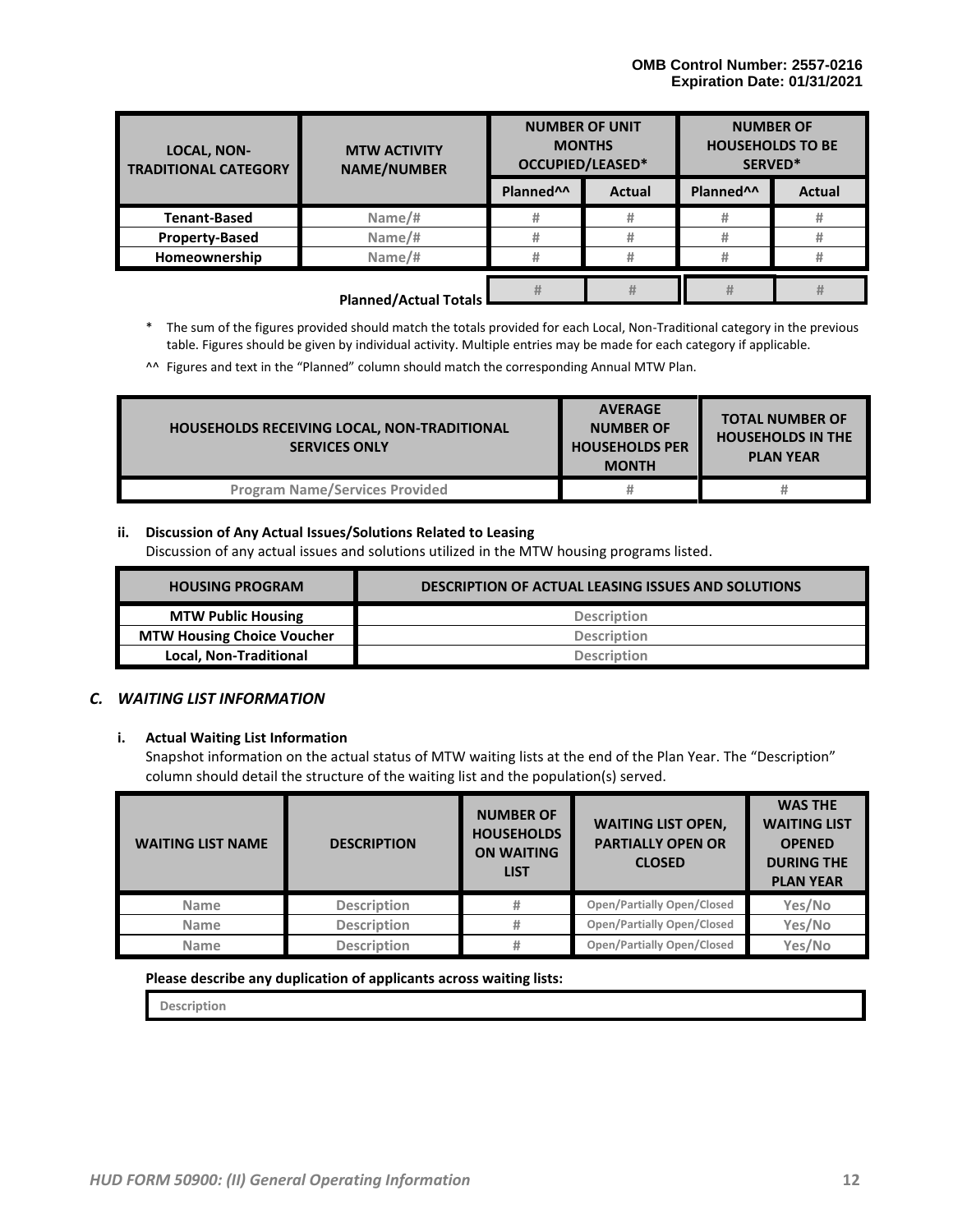| <b>LOCAL, NON-</b><br><b>TRADITIONAL CATEGORY</b> | <b>MTW ACTIVITY</b><br><b>NAME/NUMBER</b> | <b>NUMBER OF UNIT</b><br><b>MONTHS</b><br>OCCUPIED/LEASED* |               | <b>NUMBER OF</b><br><b>HOUSEHOLDS TO BE</b><br>SERVED* |               |
|---------------------------------------------------|-------------------------------------------|------------------------------------------------------------|---------------|--------------------------------------------------------|---------------|
|                                                   |                                           | Planned <sup>^^</sup>                                      | <b>Actual</b> | Planned <sup>^^</sup>                                  | <b>Actual</b> |
| <b>Tenant-Based</b>                               | Name/#                                    | #                                                          | #             | #                                                      | #             |
| <b>Property-Based</b>                             | Name/#                                    | #                                                          |               | #                                                      | #             |
| Homeownership                                     | Name/#                                    | #                                                          |               | #                                                      | #             |
|                                                   | <b>Planned/Actual Totals</b>              | #                                                          | #             |                                                        | #             |

\* The sum of the figures provided should match the totals provided for each Local, Non-Traditional category in the previous table. Figures should be given by individual activity. Multiple entries may be made for each category if applicable.

^^ Figures and text in the "Planned" column should match the corresponding Annual MTW Plan.

| <b>HOUSEHOLDS RECEIVING LOCAL, NON-TRADITIONAL</b><br><b>SERVICES ONLY</b> | <b>AVERAGE</b><br><b>NUMBER OF</b><br><b>HOUSEHOLDS PER</b><br><b>MONTH</b> | <b>TOTAL NUMBER OF</b><br><b>HOUSEHOLDS IN THE</b><br><b>PLAN YEAR</b> |
|----------------------------------------------------------------------------|-----------------------------------------------------------------------------|------------------------------------------------------------------------|
| <b>Program Name/Services Provided</b>                                      |                                                                             | #                                                                      |

#### **ii. Discussion of Any Actual Issues/Solutions Related to Leasing**

Discussion of any actual issues and solutions utilized in the MTW housing programs listed.

| <b>HOUSING PROGRAM</b>            | <b>DESCRIPTION OF ACTUAL LEASING ISSUES AND SOLUTIONS</b> |
|-----------------------------------|-----------------------------------------------------------|
| <b>MTW Public Housing</b>         | <b>Description</b>                                        |
| <b>MTW Housing Choice Voucher</b> | <b>Description</b>                                        |
| Local, Non-Traditional            | <b>Description</b>                                        |

#### *C. WAITING LIST INFORMATION*

#### **i. Actual Waiting List Information**

Snapshot information on the actual status of MTW waiting lists at the end of the Plan Year. The "Description" column should detail the structure of the waiting list and the population(s) served.

| <b>WAITING LIST NAME</b> | <b>DESCRIPTION</b> | <b>NUMBER OF</b><br><b>HOUSEHOLDS</b><br><b>ON WAITING</b><br><b>LIST</b> | <b>WAITING LIST OPEN,</b><br><b>PARTIALLY OPEN OR</b><br><b>CLOSED</b> | <b>WAS THE</b><br><b>WAITING LIST</b><br><b>OPENED</b><br><b>DURING THE</b><br><b>PLAN YEAR</b> |
|--------------------------|--------------------|---------------------------------------------------------------------------|------------------------------------------------------------------------|-------------------------------------------------------------------------------------------------|
| <b>Name</b>              | <b>Description</b> | #                                                                         | <b>Open/Partially Open/Closed</b>                                      | Yes/No                                                                                          |
| <b>Name</b>              | <b>Description</b> | #                                                                         | <b>Open/Partially Open/Closed</b>                                      | Yes/No                                                                                          |
| <b>Name</b>              | <b>Description</b> | #                                                                         | <b>Open/Partially Open/Closed</b>                                      | Yes/No                                                                                          |

#### **Please describe any duplication of applicants across waiting lists:**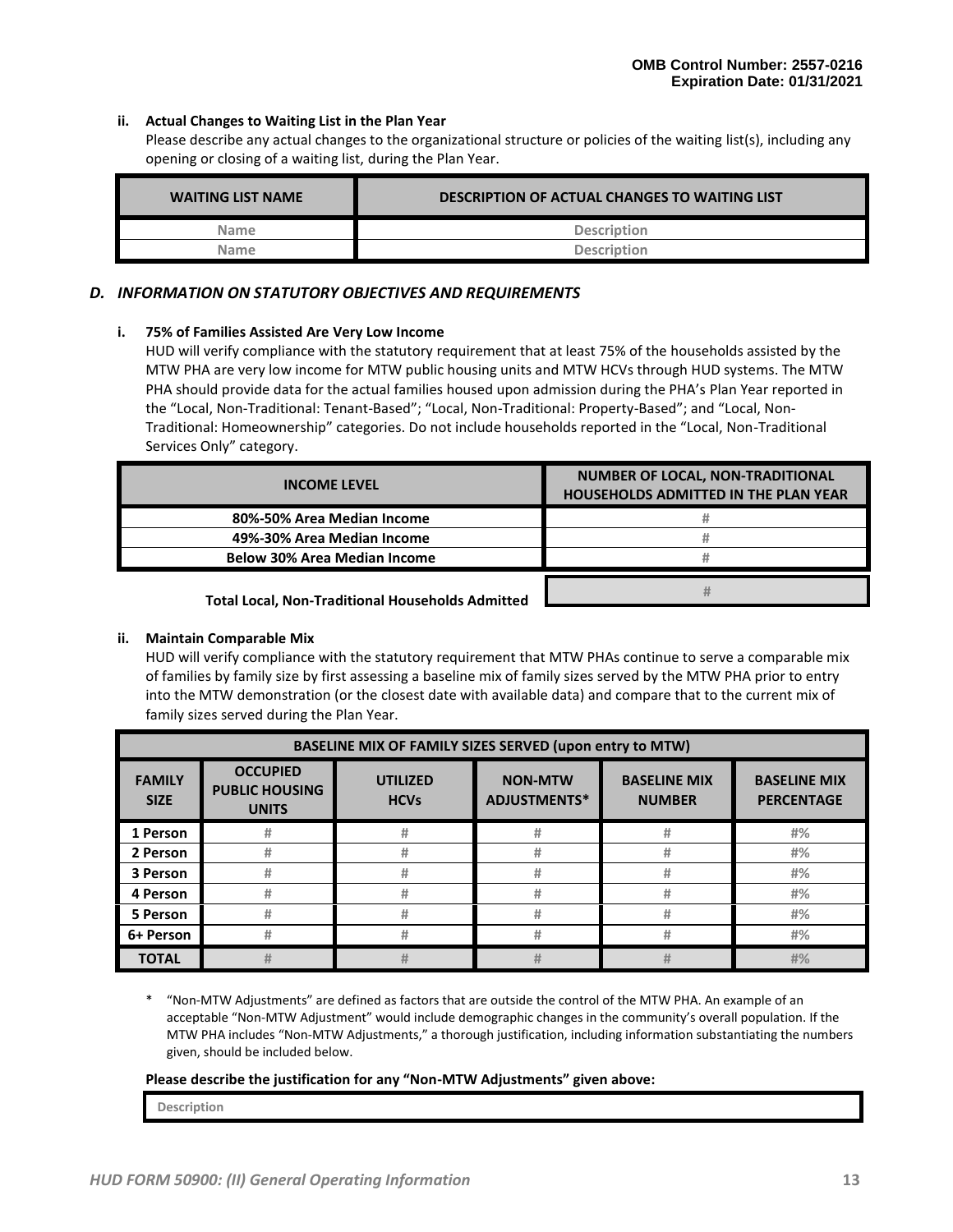#### **ii. Actual Changes to Waiting List in the Plan Year**

Please describe any actual changes to the organizational structure or policies of the waiting list(s), including any opening or closing of a waiting list, during the Plan Year.

| <b>WAITING LIST NAME</b> | DESCRIPTION OF ACTUAL CHANGES TO WAITING LIST |
|--------------------------|-----------------------------------------------|
| <b>Name</b>              | <b>Description</b>                            |
| <b>Name</b>              | <b>Description</b>                            |

#### *D. INFORMATION ON STATUTORY OBJECTIVES AND REQUIREMENTS*

#### **i. 75% of Families Assisted Are Very Low Income**

HUD will verify compliance with the statutory requirement that at least 75% of the households assisted by the MTW PHA are very low income for MTW public housing units and MTW HCVs through HUD systems. The MTW PHA should provide data for the actual families housed upon admission during the PHA's Plan Year reported in the "Local, Non-Traditional: Tenant-Based"; "Local, Non-Traditional: Property-Based"; and "Local, Non-Traditional: Homeownership" categories. Do not include households reported in the "Local, Non-Traditional Services Only" category.

| <b>INCOME LEVEL</b>                               | NUMBER OF LOCAL, NON-TRADITIONAL<br><b>HOUSEHOLDS ADMITTED IN THE PLAN YEAR</b> |
|---------------------------------------------------|---------------------------------------------------------------------------------|
| 80%-50% Area Median Income                        |                                                                                 |
| 49%-30% Area Median Income                        |                                                                                 |
| <b>Below 30% Area Median Income</b>               |                                                                                 |
| Total Losal, Nan Tuaditional Households, Admitted |                                                                                 |

**Total Local, Non-Traditional Households Admitted**

#### **ii. Maintain Comparable Mix**

HUD will verify compliance with the statutory requirement that MTW PHAs continue to serve a comparable mix of families by family size by first assessing a baseline mix of family sizes served by the MTW PHA prior to entry into the MTW demonstration (or the closest date with available data) and compare that to the current mix of family sizes served during the Plan Year.

|                              |                                                          | <b>BASELINE MIX OF FAMILY SIZES SERVED (upon entry to MTW)</b> |                                       |                                      |                                          |
|------------------------------|----------------------------------------------------------|----------------------------------------------------------------|---------------------------------------|--------------------------------------|------------------------------------------|
| <b>FAMILY</b><br><b>SIZE</b> | <b>OCCUPIED</b><br><b>PUBLIC HOUSING</b><br><b>UNITS</b> | <b>UTILIZED</b><br><b>HCVs</b>                                 | <b>NON-MTW</b><br><b>ADJUSTMENTS*</b> | <b>BASELINE MIX</b><br><b>NUMBER</b> | <b>BASELINE MIX</b><br><b>PERCENTAGE</b> |
| 1 Person                     | #                                                        | #                                                              | #                                     | #                                    | #%                                       |
| 2 Person                     | #                                                        | #                                                              | #                                     | #                                    | #%                                       |
| 3 Person                     | #                                                        | #                                                              | #                                     | #                                    | #%                                       |
| 4 Person                     | #                                                        | #                                                              | #                                     | #                                    | #%                                       |
| 5 Person                     | #                                                        | #                                                              | #                                     | #                                    | #%                                       |
| 6+ Person                    | #                                                        | #                                                              | #                                     | #                                    | #%                                       |
| <b>TOTAL</b>                 |                                                          | #                                                              | #                                     | #                                    | #%                                       |

\* "Non-MTW Adjustments" are defined as factors that are outside the control of the MTW PHA. An example of an acceptable "Non-MTW Adjustment" would include demographic changes in the community's overall population. If the MTW PHA includes "Non-MTW Adjustments," a thorough justification, including information substantiating the numbers given, should be included below.

#### **Please describe the justification for any "Non-MTW Adjustments" given above:**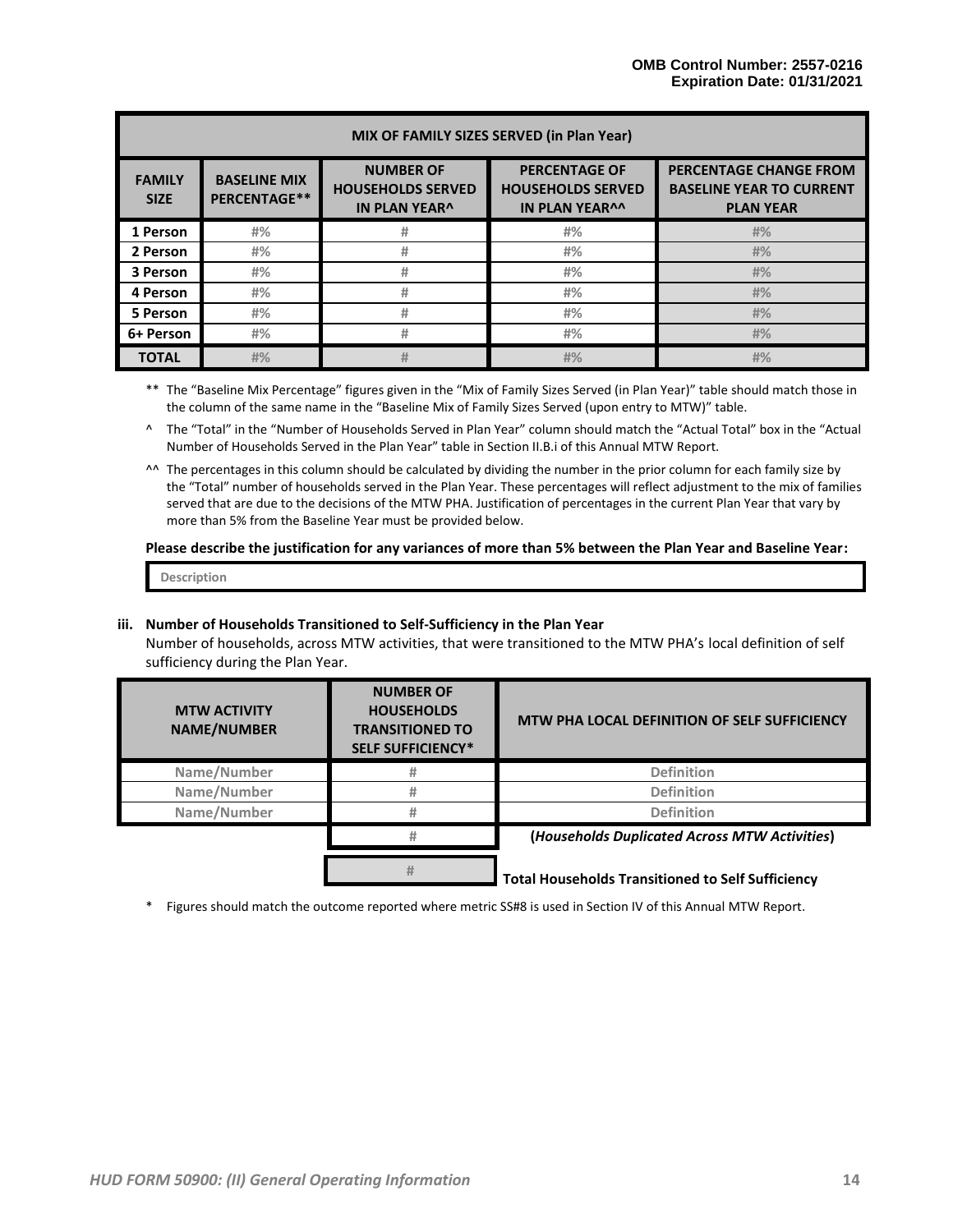|                              |                                     |                                                                      | MIX OF FAMILY SIZES SERVED (in Plan Year)                                 |                                                                                      |
|------------------------------|-------------------------------------|----------------------------------------------------------------------|---------------------------------------------------------------------------|--------------------------------------------------------------------------------------|
| <b>FAMILY</b><br><b>SIZE</b> | <b>BASELINE MIX</b><br>PERCENTAGE** | <b>NUMBER OF</b><br><b>HOUSEHOLDS SERVED</b><br><b>IN PLAN YEAR^</b> | <b>PERCENTAGE OF</b><br><b>HOUSEHOLDS SERVED</b><br><b>IN PLAN YEAR^^</b> | <b>PERCENTAGE CHANGE FROM</b><br><b>BASELINE YEAR TO CURRENT</b><br><b>PLAN YEAR</b> |
| 1 Person                     | #%                                  | #                                                                    | #%                                                                        | #%                                                                                   |
| 2 Person                     | #%                                  | #                                                                    | #%                                                                        | #%                                                                                   |
| 3 Person                     | #%                                  | #                                                                    | #%                                                                        | #%                                                                                   |
| 4 Person                     | #%                                  | #                                                                    | #%                                                                        | #%                                                                                   |
| 5 Person                     | #%                                  | #                                                                    | #%                                                                        | #%                                                                                   |
| 6+ Person                    | #%                                  | #                                                                    | #%                                                                        | #%                                                                                   |
| <b>TOTAL</b>                 | #%                                  | #                                                                    | #%                                                                        | #%                                                                                   |

\*\* The "Baseline Mix Percentage" figures given in the "Mix of Family Sizes Served (in Plan Year)" table should match those in the column of the same name in the "Baseline Mix of Family Sizes Served (upon entry to MTW)" table.

^ The "Total" in the "Number of Households Served in Plan Year" column should match the "Actual Total" box in the "Actual Number of Households Served in the Plan Year" table in Section II.B.i of this Annual MTW Report.

^^ The percentages in this column should be calculated by dividing the number in the prior column for each family size by the "Total" number of households served in the Plan Year. These percentages will reflect adjustment to the mix of families served that are due to the decisions of the MTW PHA. Justification of percentages in the current Plan Year that vary by more than 5% from the Baseline Year must be provided below.

#### **Please describe the justification for any variances of more than 5% between the Plan Year and Baseline Year:**

**Description**

#### **iii. Number of Households Transitioned to Self-Sufficiency in the Plan Year**

Number of households, across MTW activities, that were transitioned to the MTW PHA's local definition of self sufficiency during the Plan Year.

| <b>MTW ACTIVITY</b><br><b>NAME/NUMBER</b> | <b>NUMBER OF</b><br><b>HOUSEHOLDS</b><br><b>TRANSITIONED TO</b><br><b>SELF SUFFICIENCY*</b> | MTW PHA LOCAL DEFINITION OF SELF SUFFICIENCY             |
|-------------------------------------------|---------------------------------------------------------------------------------------------|----------------------------------------------------------|
| Name/Number                               |                                                                                             | <b>Definition</b>                                        |
| Name/Number                               |                                                                                             | <b>Definition</b>                                        |
| Name/Number                               |                                                                                             | <b>Definition</b>                                        |
|                                           |                                                                                             | (Households Duplicated Across MTW Activities)            |
|                                           | #                                                                                           | <b>Total Households Transitioned to Self Sufficiency</b> |

\* Figures should match the outcome reported where metric SS#8 is used in Section IV of this Annual MTW Report.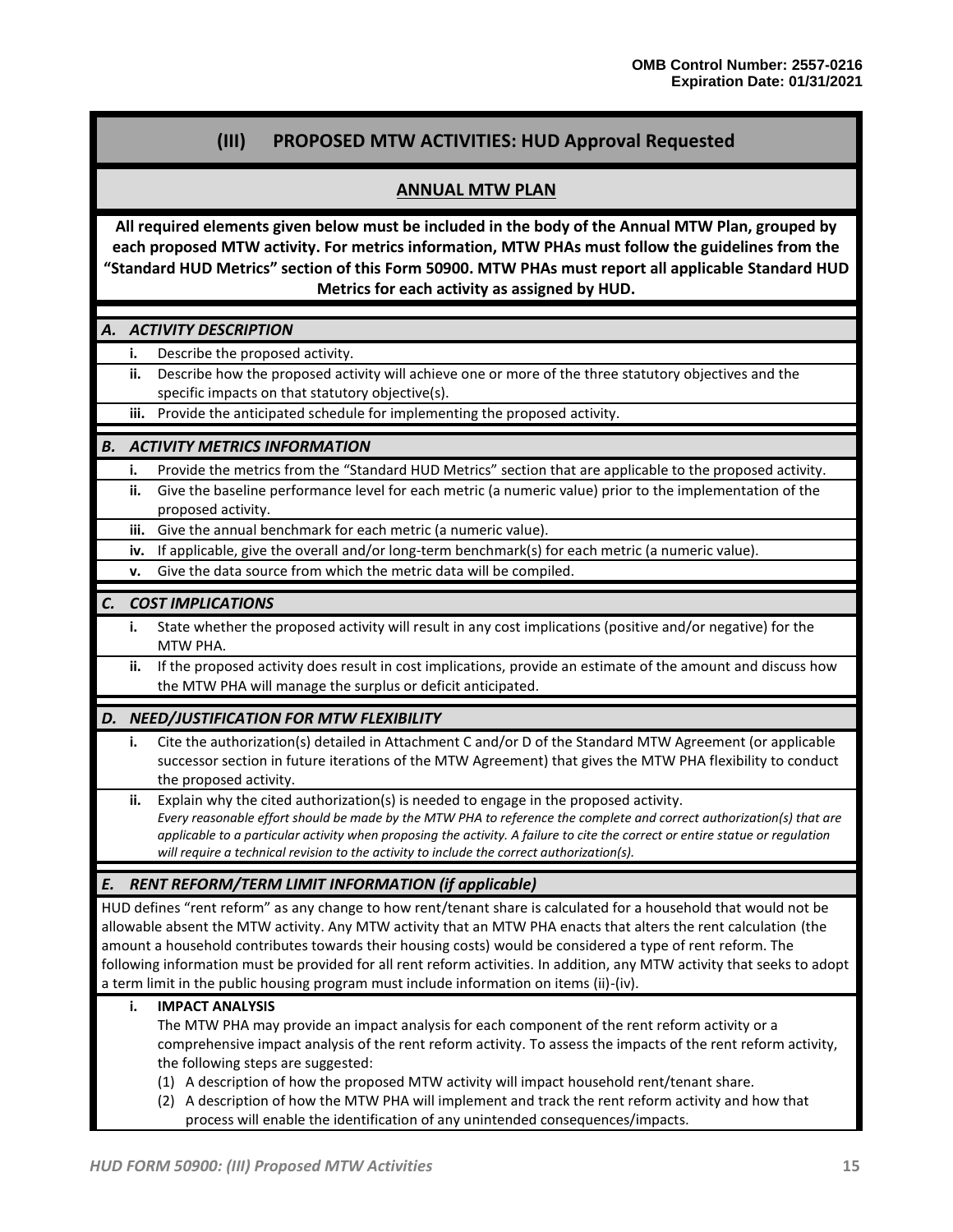# **(III) PROPOSED MTW ACTIVITIES: HUD Approval Requested**

### **ANNUAL MTW PLAN**

**All required elements given below must be included in the body of the Annual MTW Plan, grouped by each proposed MTW activity. For metrics information, MTW PHAs must follow the guidelines from the "Standard HUD Metrics" section of this Form 50900. MTW PHAs must report all applicable Standard HUD Metrics for each activity as assigned by HUD.**

#### *A. ACTIVITY DESCRIPTION*

- **i.** Describe the proposed activity.
	- **ii.** Describe how the proposed activity will achieve one or more of the three statutory objectives and the specific impacts on that statutory objective(s).
	- **iii.** Provide the anticipated schedule for implementing the proposed activity.

#### *B. ACTIVITY METRICS INFORMATION*

- **i.** Provide the metrics from the "Standard HUD Metrics" section that are applicable to the proposed activity.
- **ii.** Give the baseline performance level for each metric (a numeric value) prior to the implementation of the proposed activity.
- **iii.** Give the annual benchmark for each metric (a numeric value).
- **iv.** If applicable, give the overall and/or long-term benchmark(s) for each metric (a numeric value).
- **v.** Give the data source from which the metric data will be compiled.

#### *C. COST IMPLICATIONS*

- **i.** State whether the proposed activity will result in any cost implications (positive and/or negative) for the MTW PHA.
- **ii.** If the proposed activity does result in cost implications, provide an estimate of the amount and discuss how the MTW PHA will manage the surplus or deficit anticipated.

#### *D. NEED/JUSTIFICATION FOR MTW FLEXIBILITY*

- **i.** Cite the authorization(s) detailed in Attachment C and/or D of the Standard MTW Agreement (or applicable successor section in future iterations of the MTW Agreement) that gives the MTW PHA flexibility to conduct the proposed activity.
- **ii.** Explain why the cited authorization(s) is needed to engage in the proposed activity. *Every reasonable effort should be made by the MTW PHA to reference the complete and correct authorization(s) that are applicable to a particular activity when proposing the activity. A failure to cite the correct or entire statue or regulation will require a technical revision to the activity to include the correct authorization(s).*

#### *E. RENT REFORM/TERM LIMIT INFORMATION (if applicable)*

HUD defines "rent reform" as any change to how rent/tenant share is calculated for a household that would not be allowable absent the MTW activity. Any MTW activity that an MTW PHA enacts that alters the rent calculation (the amount a household contributes towards their housing costs) would be considered a type of rent reform. The following information must be provided for all rent reform activities. In addition, any MTW activity that seeks to adopt a term limit in the public housing program must include information on items (ii)-(iv).

#### **i. IMPACT ANALYSIS**

The MTW PHA may provide an impact analysis for each component of the rent reform activity or a comprehensive impact analysis of the rent reform activity. To assess the impacts of the rent reform activity, the following steps are suggested:

- (1) A description of how the proposed MTW activity will impact household rent/tenant share.
- (2) A description of how the MTW PHA will implement and track the rent reform activity and how that process will enable the identification of any unintended consequences/impacts.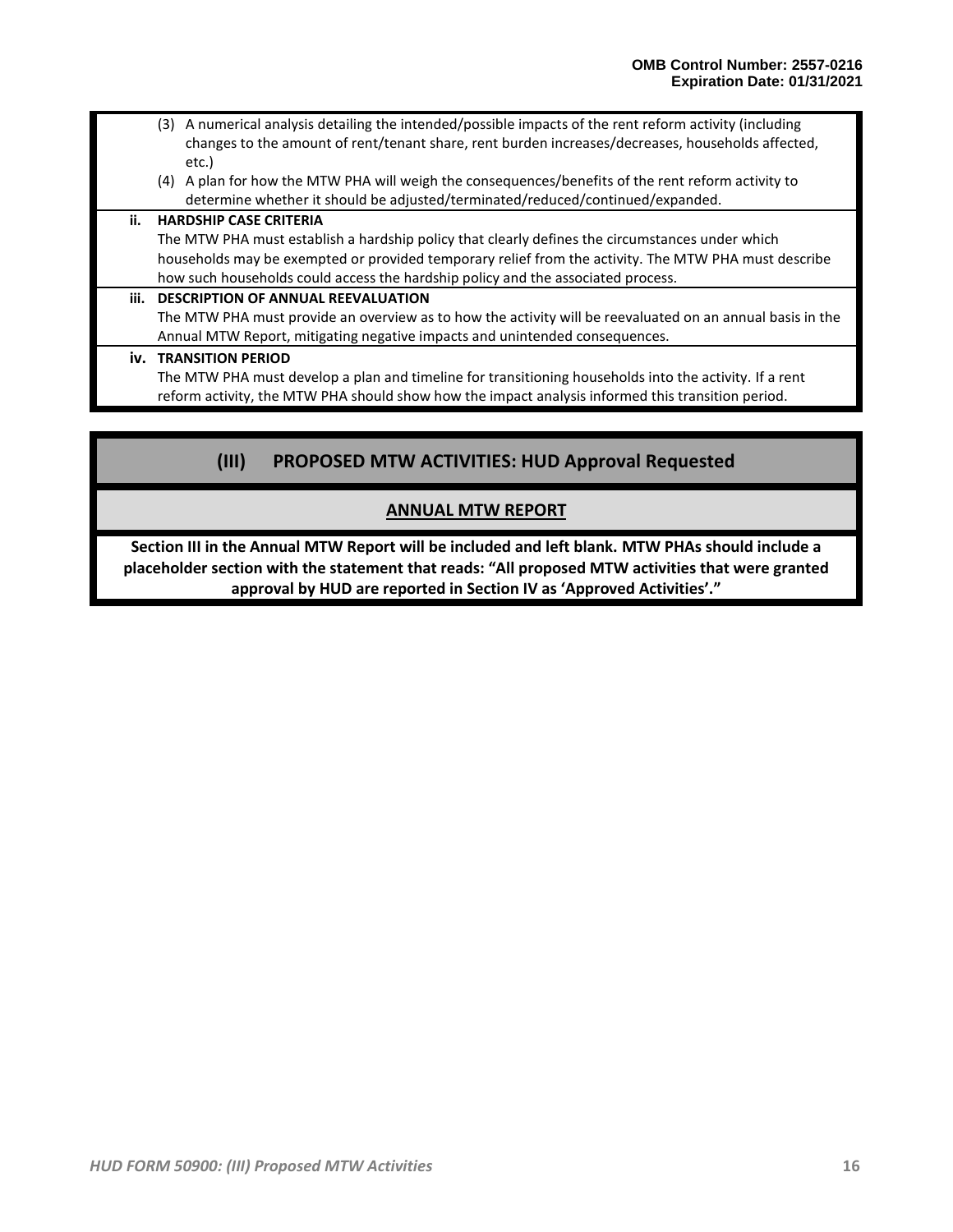- (3) A numerical analysis detailing the intended/possible impacts of the rent reform activity (including changes to the amount of rent/tenant share, rent burden increases/decreases, households affected, etc.)
- (4) A plan for how the MTW PHA will weigh the consequences/benefits of the rent reform activity to determine whether it should be adjusted/terminated/reduced/continued/expanded.

## **ii. HARDSHIP CASE CRITERIA** The MTW PHA must establish a hardship policy that clearly defines the circumstances under which households may be exempted or provided temporary relief from the activity. The MTW PHA must describe how such households could access the hardship policy and the associated process. **iii. DESCRIPTION OF ANNUAL REEVALUATION** The MTW PHA must provide an overview as to how the activity will be reevaluated on an annual basis in the Annual MTW Report, mitigating negative impacts and unintended consequences.

**iv. TRANSITION PERIOD**

The MTW PHA must develop a plan and timeline for transitioning households into the activity. If a rent reform activity, the MTW PHA should show how the impact analysis informed this transition period.

# **(III) PROPOSED MTW ACTIVITIES: HUD Approval Requested**

# **ANNUAL MTW REPORT**

**Section III in the Annual MTW Report will be included and left blank. MTW PHAs should include a placeholder section with the statement that reads: "All proposed MTW activities that were granted approval by HUD are reported in Section IV as 'Approved Activities'."**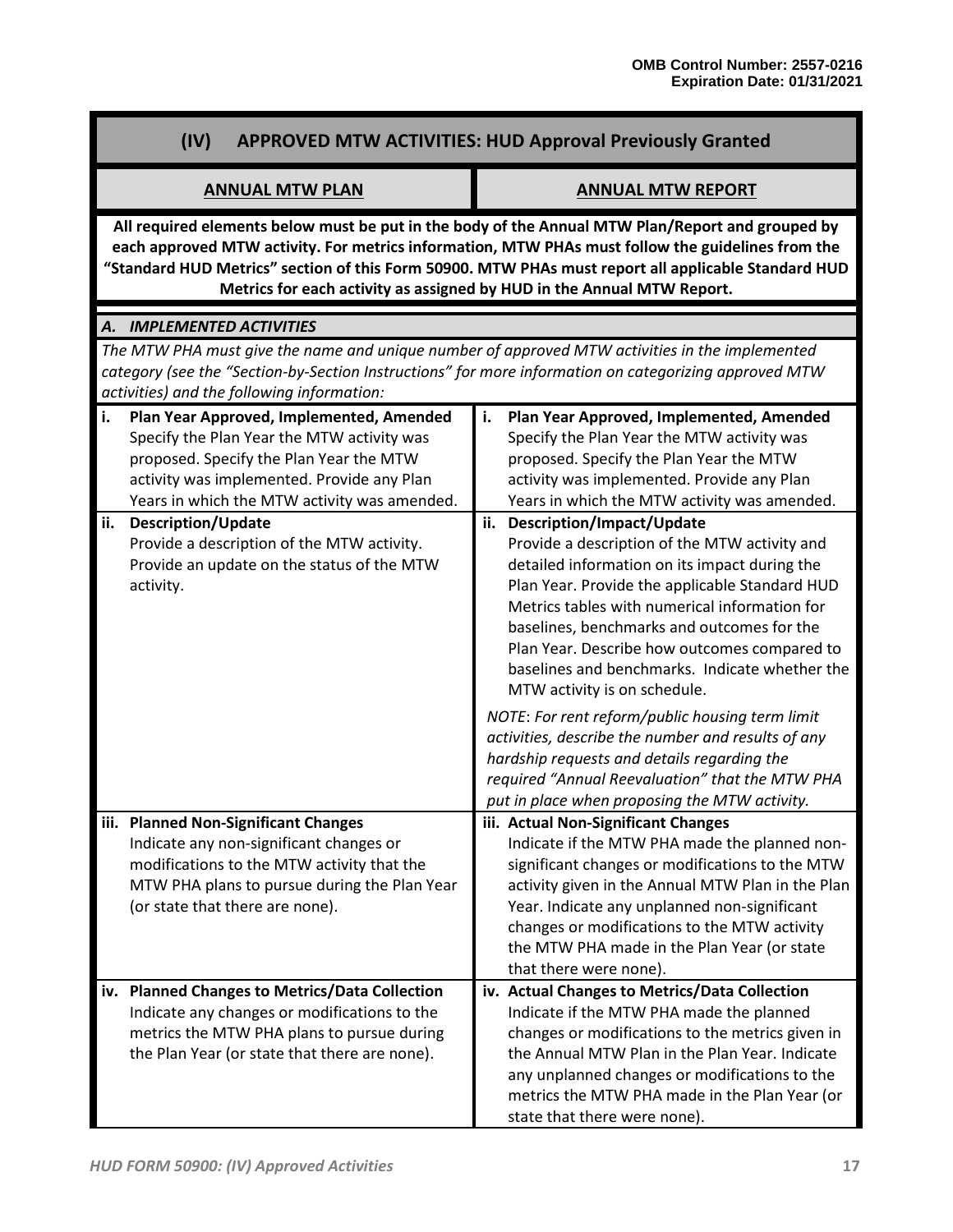# **(IV) APPROVED MTW ACTIVITIES: HUD Approval Previously Granted**

### **ANNUAL MTW PLAN ANNUAL MTW REPORT**

**All required elements below must be put in the body of the Annual MTW Plan/Report and grouped by each approved MTW activity. For metrics information, MTW PHAs must follow the guidelines from the "Standard HUD Metrics" section of this Form 50900. MTW PHAs must report all applicable Standard HUD Metrics for each activity as assigned by HUD in the Annual MTW Report.**

# *A. IMPLEMENTED ACTIVITIES*

*The MTW PHA must give the name and unique number of approved MTW activities in the implemented category (see the "Section-by-Section Instructions" for more information on categorizing approved MTW activities) and the following information:*

| li. | Plan Year Approved, Implemented, Amended                                        | i.  | Plan Year Approved, Implemented, Amended                                                         |
|-----|---------------------------------------------------------------------------------|-----|--------------------------------------------------------------------------------------------------|
|     | Specify the Plan Year the MTW activity was                                      |     | Specify the Plan Year the MTW activity was                                                       |
|     | proposed. Specify the Plan Year the MTW                                         |     | proposed. Specify the Plan Year the MTW                                                          |
|     | activity was implemented. Provide any Plan                                      |     | activity was implemented. Provide any Plan                                                       |
|     | Years in which the MTW activity was amended.                                    |     | Years in which the MTW activity was amended.                                                     |
| ii. | <b>Description/Update</b>                                                       | ii. | Description/Impact/Update                                                                        |
|     | Provide a description of the MTW activity.                                      |     | Provide a description of the MTW activity and                                                    |
|     | Provide an update on the status of the MTW                                      |     | detailed information on its impact during the                                                    |
|     | activity.                                                                       |     | Plan Year. Provide the applicable Standard HUD                                                   |
|     |                                                                                 |     | Metrics tables with numerical information for                                                    |
|     |                                                                                 |     | baselines, benchmarks and outcomes for the<br>Plan Year. Describe how outcomes compared to       |
|     |                                                                                 |     | baselines and benchmarks. Indicate whether the                                                   |
|     |                                                                                 |     | MTW activity is on schedule.                                                                     |
|     |                                                                                 |     |                                                                                                  |
|     |                                                                                 |     | NOTE: For rent reform/public housing term limit                                                  |
|     |                                                                                 |     | activities, describe the number and results of any                                               |
|     |                                                                                 |     | hardship requests and details regarding the                                                      |
|     |                                                                                 |     | required "Annual Reevaluation" that the MTW PHA<br>put in place when proposing the MTW activity. |
|     |                                                                                 |     |                                                                                                  |
|     | iii. Planned Non-Significant Changes<br>Indicate any non-significant changes or |     | iii. Actual Non-Significant Changes<br>Indicate if the MTW PHA made the planned non-             |
|     | modifications to the MTW activity that the                                      |     | significant changes or modifications to the MTW                                                  |
|     | MTW PHA plans to pursue during the Plan Year                                    |     | activity given in the Annual MTW Plan in the Plan                                                |
|     | (or state that there are none).                                                 |     | Year. Indicate any unplanned non-significant                                                     |
|     |                                                                                 |     | changes or modifications to the MTW activity                                                     |
|     |                                                                                 |     | the MTW PHA made in the Plan Year (or state                                                      |
|     |                                                                                 |     | that there were none).                                                                           |
| iv. | <b>Planned Changes to Metrics/Data Collection</b>                               |     | iv. Actual Changes to Metrics/Data Collection                                                    |
|     | Indicate any changes or modifications to the                                    |     | Indicate if the MTW PHA made the planned                                                         |
|     | metrics the MTW PHA plans to pursue during                                      |     | changes or modifications to the metrics given in                                                 |
|     | the Plan Year (or state that there are none).                                   |     | the Annual MTW Plan in the Plan Year. Indicate                                                   |
|     |                                                                                 |     | any unplanned changes or modifications to the                                                    |
|     |                                                                                 |     | metrics the MTW PHA made in the Plan Year (or                                                    |
|     |                                                                                 |     | state that there were none).                                                                     |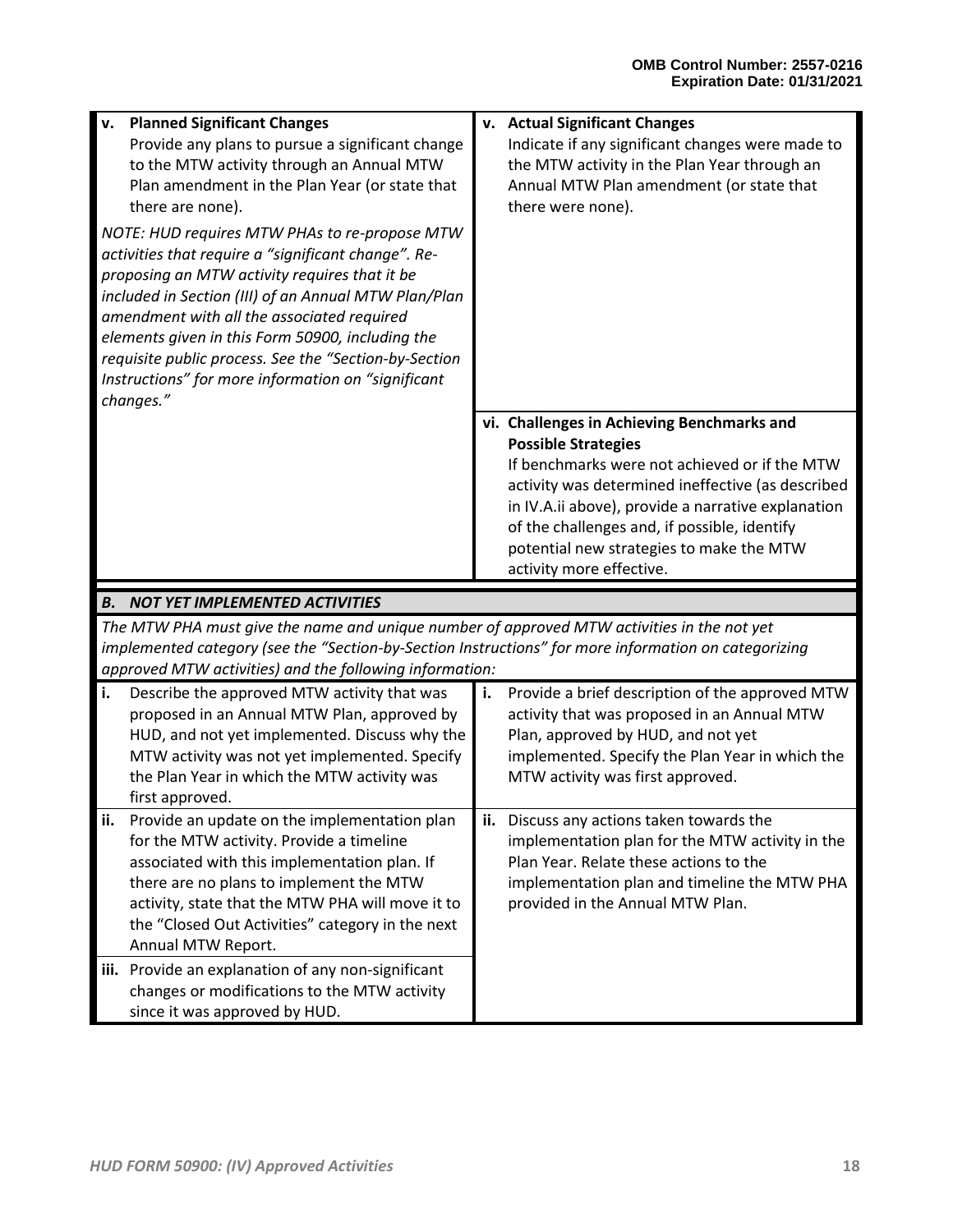| <b>Planned Significant Changes</b><br>v.                                                             | v. Actual Significant Changes                                            |
|------------------------------------------------------------------------------------------------------|--------------------------------------------------------------------------|
| Provide any plans to pursue a significant change                                                     | Indicate if any significant changes were made to                         |
| to the MTW activity through an Annual MTW                                                            | the MTW activity in the Plan Year through an                             |
| Plan amendment in the Plan Year (or state that                                                       | Annual MTW Plan amendment (or state that                                 |
| there are none).                                                                                     | there were none).                                                        |
| NOTE: HUD requires MTW PHAs to re-propose MTW                                                        |                                                                          |
| activities that require a "significant change". Re-                                                  |                                                                          |
| proposing an MTW activity requires that it be                                                        |                                                                          |
| included in Section (III) of an Annual MTW Plan/Plan                                                 |                                                                          |
| amendment with all the associated required                                                           |                                                                          |
| elements given in this Form 50900, including the                                                     |                                                                          |
| requisite public process. See the "Section-by-Section                                                |                                                                          |
| Instructions" for more information on "significant                                                   |                                                                          |
| changes."                                                                                            |                                                                          |
|                                                                                                      | vi. Challenges in Achieving Benchmarks and<br><b>Possible Strategies</b> |
|                                                                                                      | If benchmarks were not achieved or if the MTW                            |
|                                                                                                      | activity was determined ineffective (as described                        |
|                                                                                                      | in IV.A.ii above), provide a narrative explanation                       |
|                                                                                                      | of the challenges and, if possible, identify                             |
|                                                                                                      | potential new strategies to make the MTW                                 |
|                                                                                                      |                                                                          |
|                                                                                                      | activity more effective.                                                 |
|                                                                                                      |                                                                          |
| <b>B. NOT YET IMPLEMENTED ACTIVITIES</b>                                                             |                                                                          |
| The MTW PHA must give the name and unique number of approved MTW activities in the not yet           |                                                                          |
| implemented category (see the "Section-by-Section Instructions" for more information on categorizing |                                                                          |
| approved MTW activities) and the following information:                                              |                                                                          |
| Describe the approved MTW activity that was<br>i.                                                    | i.<br>Provide a brief description of the approved MTW                    |
| proposed in an Annual MTW Plan, approved by                                                          | activity that was proposed in an Annual MTW                              |
| HUD, and not yet implemented. Discuss why the                                                        | Plan, approved by HUD, and not yet                                       |
| MTW activity was not yet implemented. Specify                                                        | implemented. Specify the Plan Year in which the                          |
| the Plan Year in which the MTW activity was                                                          | MTW activity was first approved.                                         |
| first approved.<br>ii.<br>Provide an update on the implementation plan                               | ii.<br>Discuss any actions taken towards the                             |
| for the MTW activity. Provide a timeline                                                             | implementation plan for the MTW activity in the                          |
| associated with this implementation plan. If                                                         | Plan Year. Relate these actions to the                                   |
| there are no plans to implement the MTW                                                              | implementation plan and timeline the MTW PHA                             |
| activity, state that the MTW PHA will move it to                                                     | provided in the Annual MTW Plan.                                         |
| the "Closed Out Activities" category in the next                                                     |                                                                          |
| Annual MTW Report.                                                                                   |                                                                          |
| iii. Provide an explanation of any non-significant                                                   |                                                                          |
| changes or modifications to the MTW activity<br>since it was approved by HUD.                        |                                                                          |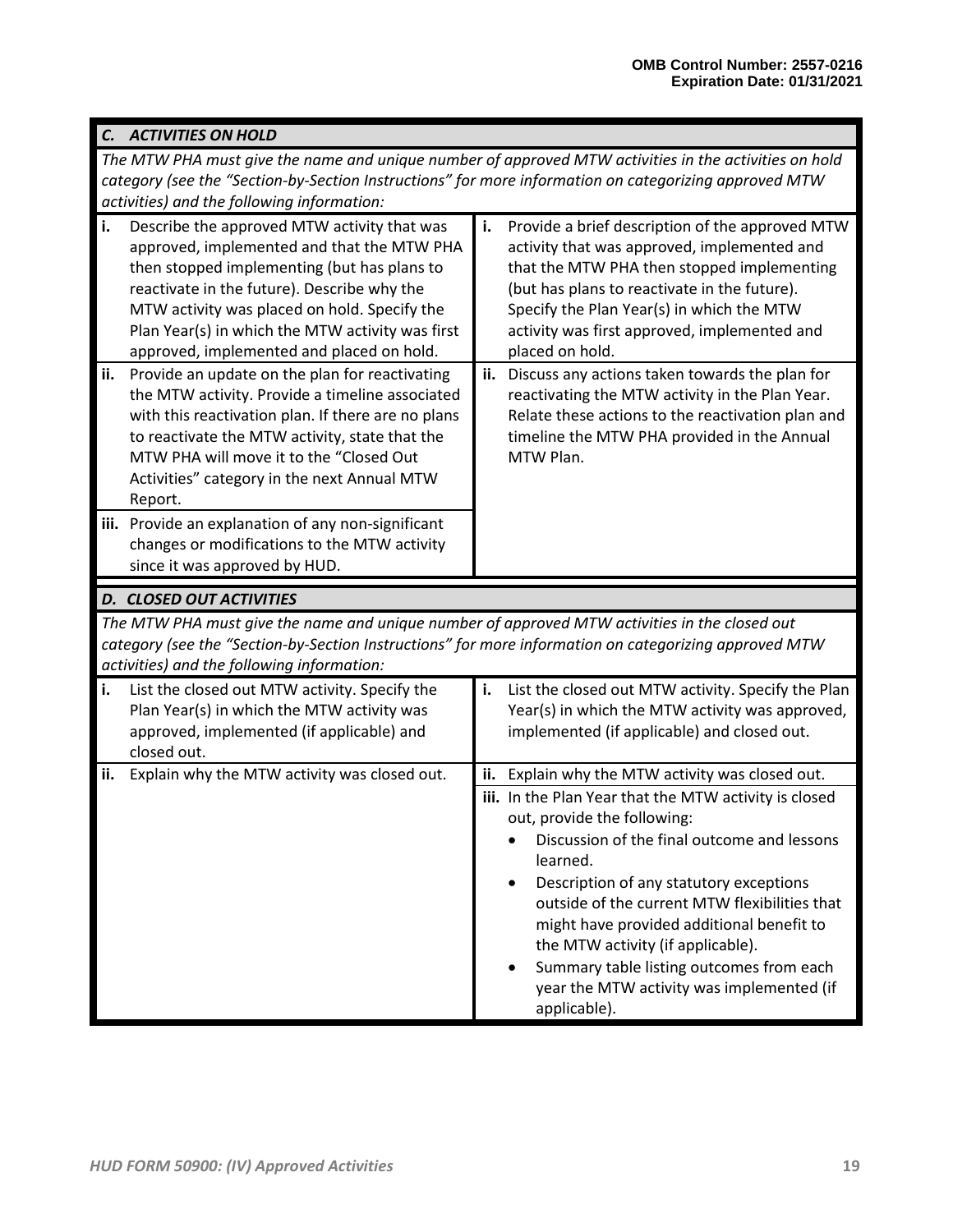|     | C. ACTIVITIES ON HOLD                                                                                                                                                                                                                                                                                                                    |     |                                                                                                                                                                                                                                                                                                              |  |  |
|-----|------------------------------------------------------------------------------------------------------------------------------------------------------------------------------------------------------------------------------------------------------------------------------------------------------------------------------------------|-----|--------------------------------------------------------------------------------------------------------------------------------------------------------------------------------------------------------------------------------------------------------------------------------------------------------------|--|--|
|     | The MTW PHA must give the name and unique number of approved MTW activities in the activities on hold                                                                                                                                                                                                                                    |     |                                                                                                                                                                                                                                                                                                              |  |  |
|     | category (see the "Section-by-Section Instructions" for more information on categorizing approved MTW                                                                                                                                                                                                                                    |     |                                                                                                                                                                                                                                                                                                              |  |  |
|     | activities) and the following information:                                                                                                                                                                                                                                                                                               |     |                                                                                                                                                                                                                                                                                                              |  |  |
| i.  | Describe the approved MTW activity that was<br>approved, implemented and that the MTW PHA<br>then stopped implementing (but has plans to<br>reactivate in the future). Describe why the<br>MTW activity was placed on hold. Specify the<br>Plan Year(s) in which the MTW activity was first<br>approved, implemented and placed on hold. | i.  | Provide a brief description of the approved MTW<br>activity that was approved, implemented and<br>that the MTW PHA then stopped implementing<br>(but has plans to reactivate in the future).<br>Specify the Plan Year(s) in which the MTW<br>activity was first approved, implemented and<br>placed on hold. |  |  |
| ii. | Provide an update on the plan for reactivating<br>the MTW activity. Provide a timeline associated<br>with this reactivation plan. If there are no plans<br>to reactivate the MTW activity, state that the<br>MTW PHA will move it to the "Closed Out<br>Activities" category in the next Annual MTW<br>Report.                           |     | ii. Discuss any actions taken towards the plan for<br>reactivating the MTW activity in the Plan Year.<br>Relate these actions to the reactivation plan and<br>timeline the MTW PHA provided in the Annual<br>MTW Plan.                                                                                       |  |  |
|     | iii. Provide an explanation of any non-significant                                                                                                                                                                                                                                                                                       |     |                                                                                                                                                                                                                                                                                                              |  |  |
|     | changes or modifications to the MTW activity<br>since it was approved by HUD.                                                                                                                                                                                                                                                            |     |                                                                                                                                                                                                                                                                                                              |  |  |
|     | <b>D. CLOSED OUT ACTIVITIES</b>                                                                                                                                                                                                                                                                                                          |     |                                                                                                                                                                                                                                                                                                              |  |  |
|     | The MTW PHA must give the name and unique number of approved MTW activities in the closed out<br>category (see the "Section-by-Section Instructions" for more information on categorizing approved MTW<br>activities) and the following information:                                                                                     |     |                                                                                                                                                                                                                                                                                                              |  |  |
| i.  | List the closed out MTW activity. Specify the<br>Plan Year(s) in which the MTW activity was<br>approved, implemented (if applicable) and<br>closed out.                                                                                                                                                                                  | i.  | List the closed out MTW activity. Specify the Plan<br>Year(s) in which the MTW activity was approved,<br>implemented (if applicable) and closed out.                                                                                                                                                         |  |  |
| ii. | Explain why the MTW activity was closed out.                                                                                                                                                                                                                                                                                             | ii. | Explain why the MTW activity was closed out.<br>iii. In the Plan Year that the MTW activity is closed                                                                                                                                                                                                        |  |  |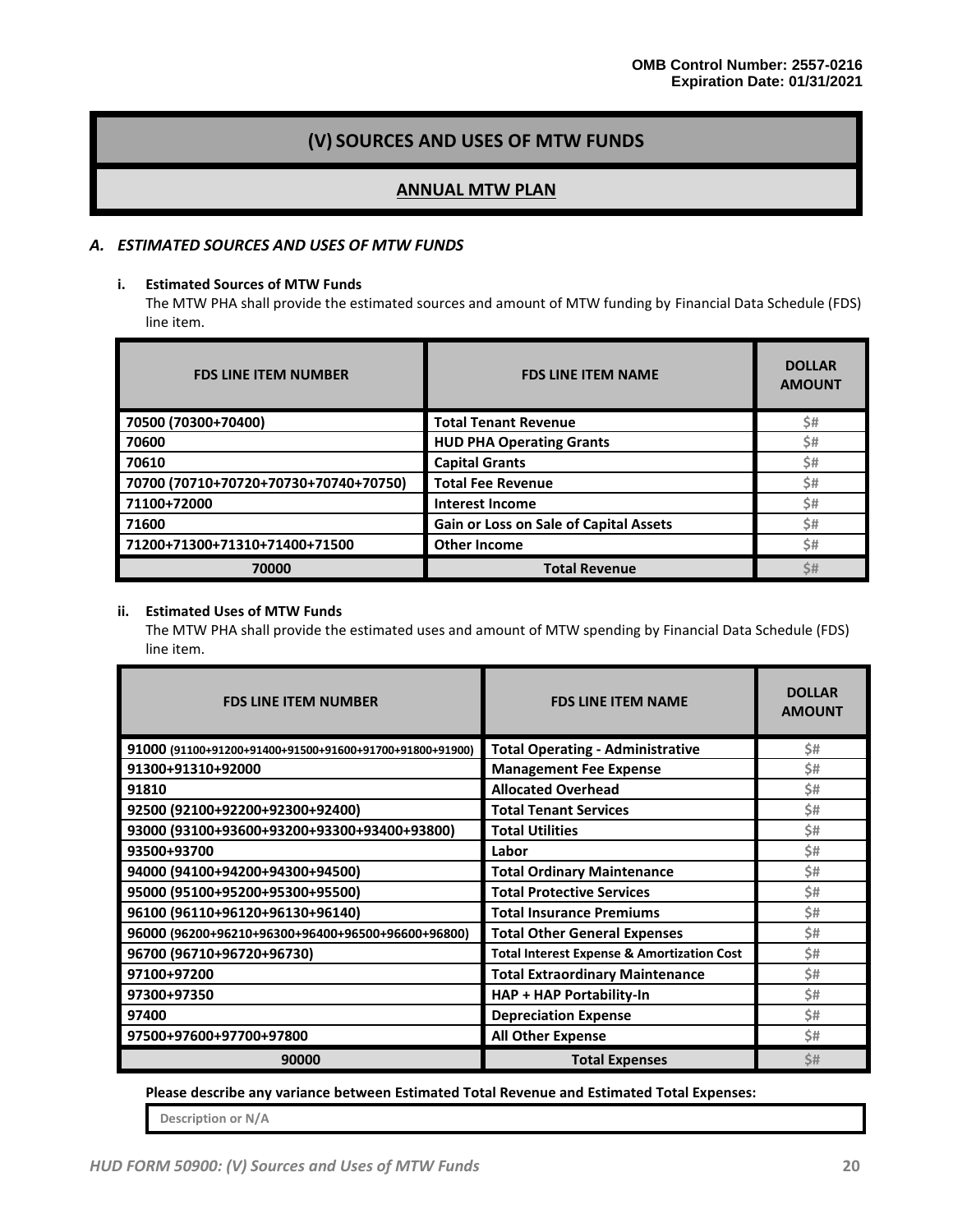# **(V) SOURCES AND USES OF MTW FUNDS**

#### **ANNUAL MTW PLAN**

#### *A. ESTIMATED SOURCES AND USES OF MTW FUNDS*

#### **i. Estimated Sources of MTW Funds**

The MTW PHA shall provide the estimated sources and amount of MTW funding by Financial Data Schedule (FDS) line item.

| <b>FDS LINE ITEM NUMBER</b>           | <b>FDS LINE ITEM NAME</b>              | <b>DOLLAR</b><br><b>AMOUNT</b> |
|---------------------------------------|----------------------------------------|--------------------------------|
| 70500 (70300+70400)                   | <b>Total Tenant Revenue</b>            | Ś#                             |
| 70600                                 | <b>HUD PHA Operating Grants</b>        | \$#                            |
| 70610                                 | <b>Capital Grants</b>                  | Ś#                             |
| 70700 (70710+70720+70730+70740+70750) | <b>Total Fee Revenue</b>               | Ś#                             |
| 71100+72000                           | <b>Interest Income</b>                 | Ś#                             |
| 71600                                 | Gain or Loss on Sale of Capital Assets | Ś#                             |
| 71200+71300+71310+71400+71500         | <b>Other Income</b>                    | Ś#                             |
| 70000                                 | <b>Total Revenue</b>                   | S#                             |

#### **ii. Estimated Uses of MTW Funds**

The MTW PHA shall provide the estimated uses and amount of MTW spending by Financial Data Schedule (FDS) line item.

| <b>FDS LINE ITEM NUMBER</b>                             | <b>FDS LINE ITEM NAME</b>                             | <b>DOLLAR</b><br><b>AMOUNT</b> |
|---------------------------------------------------------|-------------------------------------------------------|--------------------------------|
| 91000 (91100+91200+91400+91500+91600+91700+91800+91900) | <b>Total Operating - Administrative</b>               | \$#                            |
| 91300+91310+92000                                       | <b>Management Fee Expense</b>                         | Ś#                             |
| 91810                                                   | <b>Allocated Overhead</b>                             | \$#                            |
| 92500 (92100+92200+92300+92400)                         | <b>Total Tenant Services</b>                          | \$#                            |
| 93000 (93100+93600+93200+93300+93400+93800)             | <b>Total Utilities</b>                                | \$#                            |
| 93500+93700                                             | Labor                                                 | \$#                            |
| 94000 (94100+94200+94300+94500)                         | <b>Total Ordinary Maintenance</b>                     | Ś#                             |
| 95000 (95100+95200+95300+95500)                         | <b>Total Protective Services</b>                      | \$#                            |
| 96100 (96110+96120+96130+96140)                         | <b>Total Insurance Premiums</b>                       | \$#                            |
| 96000 (96200+96210+96300+96400+96500+96600+96800)       | <b>Total Other General Expenses</b>                   | \$#                            |
| 96700 (96710+96720+96730)                               | <b>Total Interest Expense &amp; Amortization Cost</b> | \$#                            |
| 97100+97200                                             | <b>Total Extraordinary Maintenance</b>                | Ś#                             |
| 97300+97350                                             | HAP + HAP Portability-In                              | \$#                            |
| 97400                                                   | <b>Depreciation Expense</b>                           | \$#                            |
| 97500+97600+97700+97800                                 | <b>All Other Expense</b>                              | Ś#                             |
| 90000                                                   | <b>Total Expenses</b>                                 | Ś#                             |

**Please describe any variance between Estimated Total Revenue and Estimated Total Expenses:**

**Description or N/A**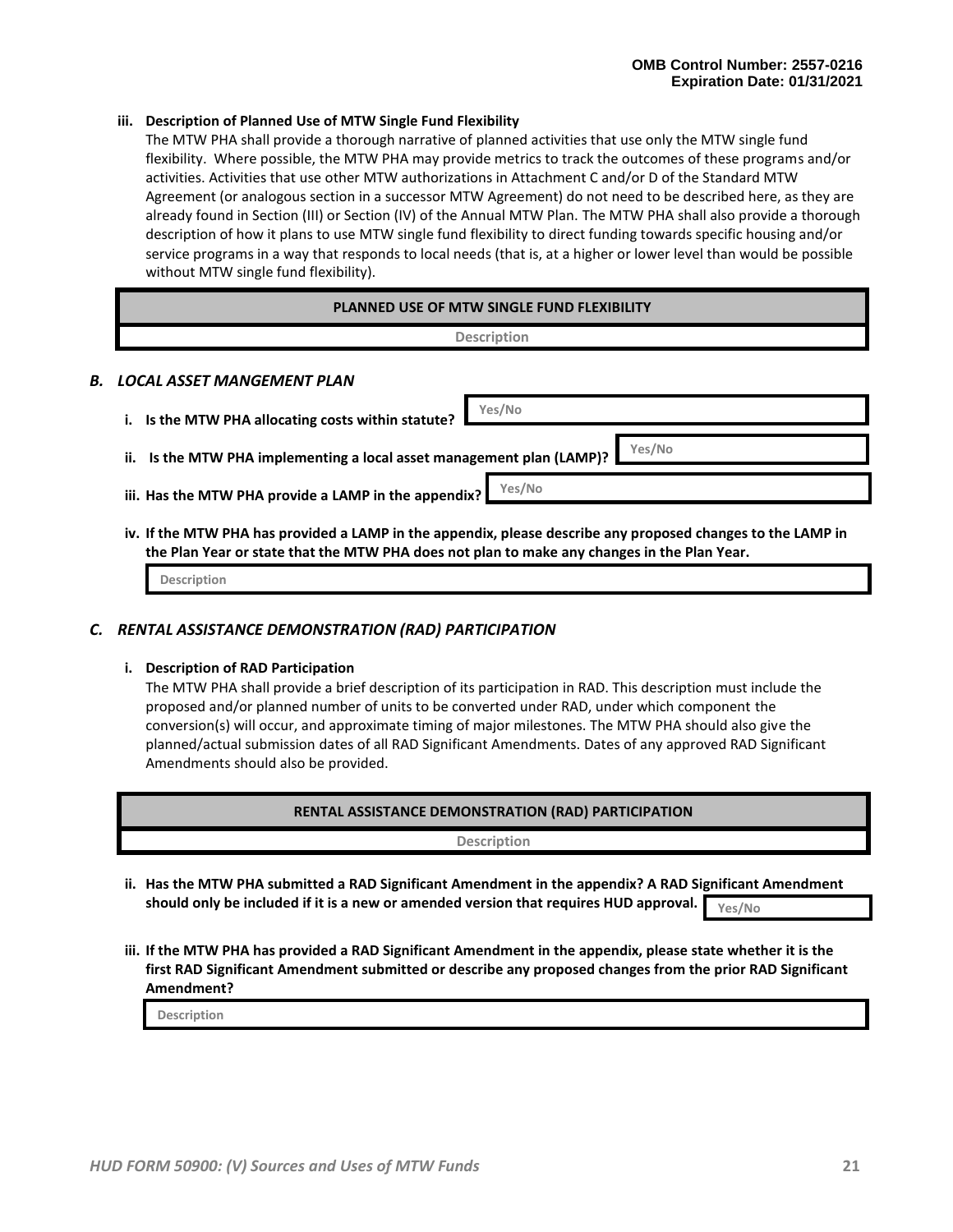#### **iii. Description of Planned Use of MTW Single Fund Flexibility**

The MTW PHA shall provide a thorough narrative of planned activities that use only the MTW single fund flexibility. Where possible, the MTW PHA may provide metrics to track the outcomes of these programs and/or activities. Activities that use other MTW authorizations in Attachment C and/or D of the Standard MTW Agreement (or analogous section in a successor MTW Agreement) do not need to be described here, as they are already found in Section (III) or Section (IV) of the Annual MTW Plan. The MTW PHA shall also provide a thorough description of how it plans to use MTW single fund flexibility to direct funding towards specific housing and/or service programs in a way that responds to local needs (that is, at a higher or lower level than would be possible without MTW single fund flexibility).

| <b>PLANNED USE OF MTW SINGLE FUND FLEXIBILITY</b> |                                                    |                    |  |
|---------------------------------------------------|----------------------------------------------------|--------------------|--|
|                                                   |                                                    | <b>Description</b> |  |
|                                                   | B. LOCAL ASSET MANGEMENT PLAN                      |                    |  |
|                                                   | i. Is the MTW PHA allocating costs within statute? | Yes/No             |  |

**ii. Is the MTW PHA implementing a local asset management plan (LAMP)? Yes/No**

**Yes/No**

- **iii. Has the MTW PHA provide a LAMP in the appendix?**
- **iv. If the MTW PHA has provided a LAMP in the appendix, please describe any proposed changes to the LAMP in the Plan Year or state that the MTW PHA does not plan to make any changes in the Plan Year.**

**Description**

#### *C. RENTAL ASSISTANCE DEMONSTRATION (RAD) PARTICIPATION*

#### **i. Description of RAD Participation**

The MTW PHA shall provide a brief description of its participation in RAD. This description must include the proposed and/or planned number of units to be converted under RAD, under which component the conversion(s) will occur, and approximate timing of major milestones. The MTW PHA should also give the planned/actual submission dates of all RAD Significant Amendments. Dates of any approved RAD Significant Amendments should also be provided.

| RENTAL ASSISTANCE DEMONSTRATION (RAD) PARTICIPATION                                                    |
|--------------------------------------------------------------------------------------------------------|
| <b>Description</b>                                                                                     |
| ii. Has the MTW PHA submitted a RAD Significant Amendment in the appendix? A RAD Significant Amendment |

- **ii. Has the MTW PHA submitted a RAD Significant Amendment in the appendix? A RAD Significant Amendment should only be included if it is a new or amended version that requires HUD approval. Yes/No**
- **iii. If the MTW PHA has provided a RAD Significant Amendment in the appendix, please state whether it is the first RAD Significant Amendment submitted or describe any proposed changes from the prior RAD Significant Amendment?**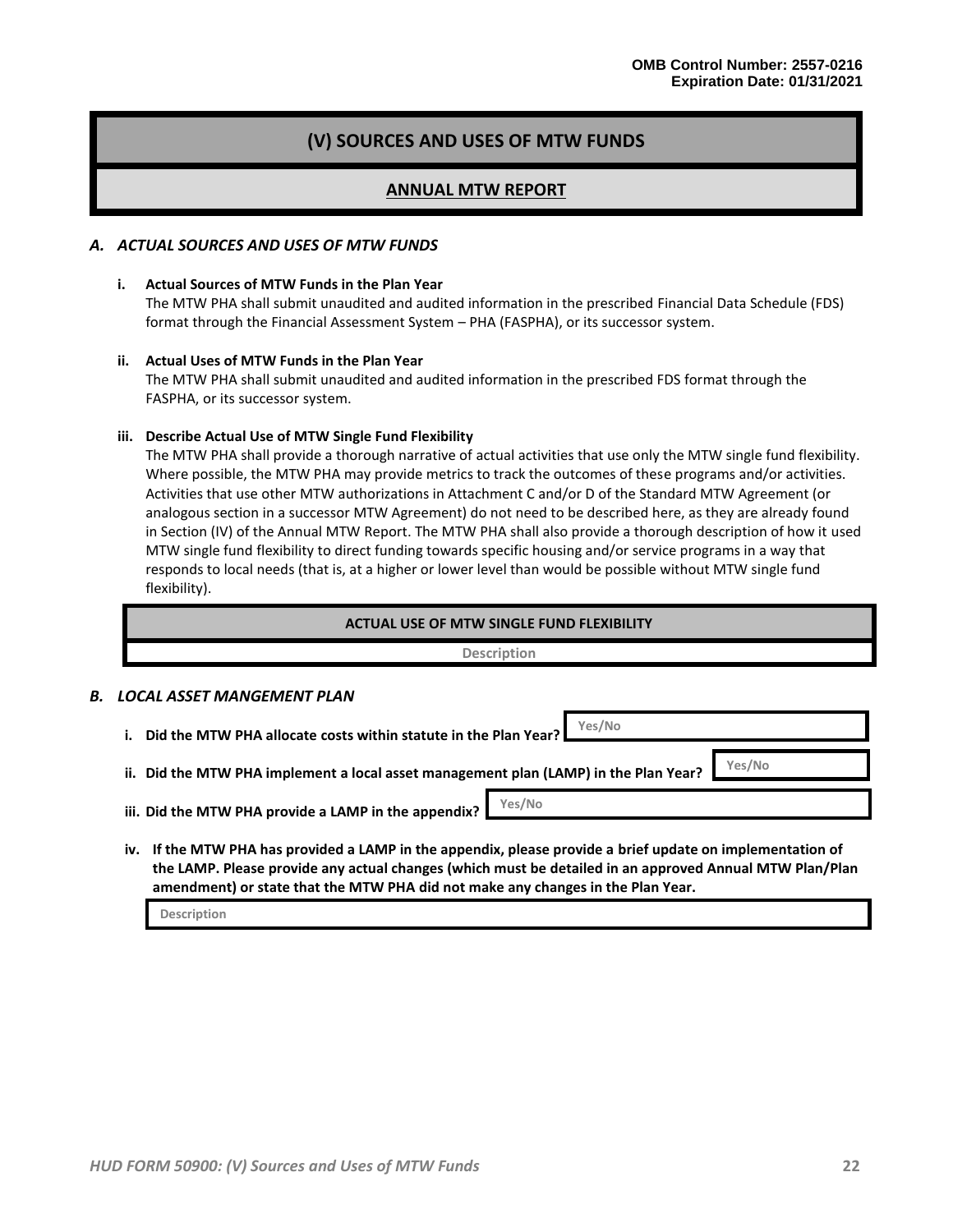# **(V) SOURCES AND USES OF MTW FUNDS**

### **ANNUAL MTW REPORT**

#### *A. ACTUAL SOURCES AND USES OF MTW FUNDS*

#### **i. Actual Sources of MTW Funds in the Plan Year**

The MTW PHA shall submit unaudited and audited information in the prescribed Financial Data Schedule (FDS) format through the Financial Assessment System – PHA (FASPHA), or its successor system.

#### **ii. Actual Uses of MTW Funds in the Plan Year**

The MTW PHA shall submit unaudited and audited information in the prescribed FDS format through the FASPHA, or its successor system.

#### **iii. Describe Actual Use of MTW Single Fund Flexibility**

The MTW PHA shall provide a thorough narrative of actual activities that use only the MTW single fund flexibility. Where possible, the MTW PHA may provide metrics to track the outcomes of these programs and/or activities. Activities that use other MTW authorizations in Attachment C and/or D of the Standard MTW Agreement (or analogous section in a successor MTW Agreement) do not need to be described here, as they are already found in Section (IV) of the Annual MTW Report. The MTW PHA shall also provide a thorough description of how it used MTW single fund flexibility to direct funding towards specific housing and/or service programs in a way that responds to local needs (that is, at a higher or lower level than would be possible without MTW single fund flexibility).

| <b>ACTUAL USE OF MTW SINGLE FUND FLEXIBILITY</b> |
|--------------------------------------------------|
| <b>Description</b>                               |
|                                                  |

#### *B. LOCAL ASSET MANGEMENT PLAN*

- **i. Did the MTW PHA allocate costs within statute in the Plan Year? ii. Did the MTW PHA implement a local asset management plan (LAMP) in the Plan Year? iii. Did the MTW PHA provide a LAMP in the appendix? Yes/No Yes/No Yes/No**
- **iv. If the MTW PHA has provided a LAMP in the appendix, please provide a brief update on implementation of the LAMP. Please provide any actual changes (which must be detailed in an approved Annual MTW Plan/Plan amendment) or state that the MTW PHA did not make any changes in the Plan Year.**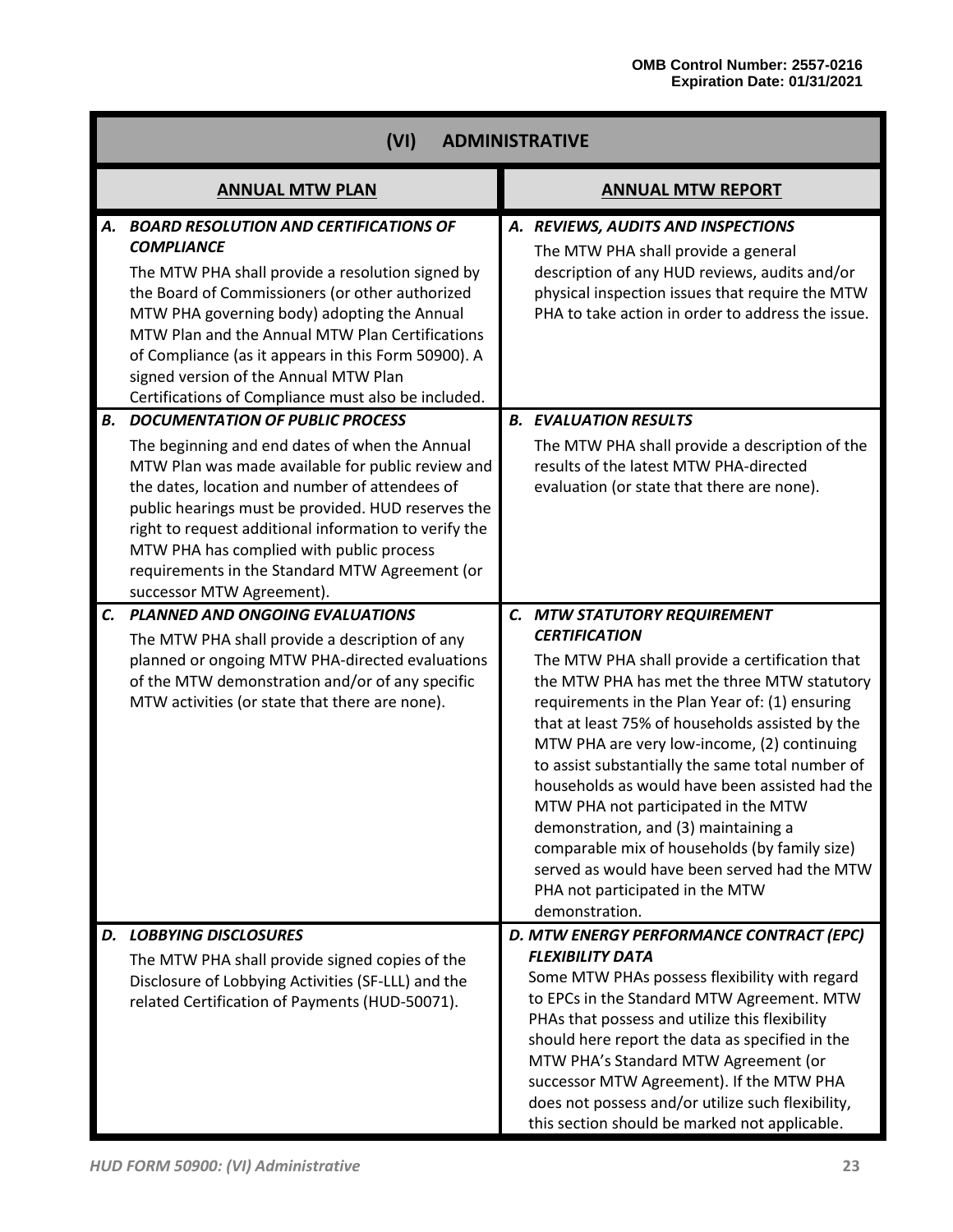|           | (VI)<br><b>ADMINISTRATIVE</b>                                                                                                                                                                                                                                                                                                                                                                                                             |                                                                                                                                                                                                                                                                                                                                                                                                                                                                                                                                                                                                                                                      |  |  |  |
|-----------|-------------------------------------------------------------------------------------------------------------------------------------------------------------------------------------------------------------------------------------------------------------------------------------------------------------------------------------------------------------------------------------------------------------------------------------------|------------------------------------------------------------------------------------------------------------------------------------------------------------------------------------------------------------------------------------------------------------------------------------------------------------------------------------------------------------------------------------------------------------------------------------------------------------------------------------------------------------------------------------------------------------------------------------------------------------------------------------------------------|--|--|--|
|           | <b>ANNUAL MTW PLAN</b>                                                                                                                                                                                                                                                                                                                                                                                                                    | <b>ANNUAL MTW REPORT</b>                                                                                                                                                                                                                                                                                                                                                                                                                                                                                                                                                                                                                             |  |  |  |
| А.        | <b>BOARD RESOLUTION AND CERTIFICATIONS OF</b><br><b>COMPLIANCE</b><br>The MTW PHA shall provide a resolution signed by<br>the Board of Commissioners (or other authorized<br>MTW PHA governing body) adopting the Annual<br>MTW Plan and the Annual MTW Plan Certifications<br>of Compliance (as it appears in this Form 50900). A<br>signed version of the Annual MTW Plan<br>Certifications of Compliance must also be included.        | A. REVIEWS, AUDITS AND INSPECTIONS<br>The MTW PHA shall provide a general<br>description of any HUD reviews, audits and/or<br>physical inspection issues that require the MTW<br>PHA to take action in order to address the issue.                                                                                                                                                                                                                                                                                                                                                                                                                   |  |  |  |
| <b>B.</b> | <b>DOCUMENTATION OF PUBLIC PROCESS</b><br>The beginning and end dates of when the Annual<br>MTW Plan was made available for public review and<br>the dates, location and number of attendees of<br>public hearings must be provided. HUD reserves the<br>right to request additional information to verify the<br>MTW PHA has complied with public process<br>requirements in the Standard MTW Agreement (or<br>successor MTW Agreement). | <b>B. EVALUATION RESULTS</b><br>The MTW PHA shall provide a description of the<br>results of the latest MTW PHA-directed<br>evaluation (or state that there are none).                                                                                                                                                                                                                                                                                                                                                                                                                                                                               |  |  |  |
| C.        | <b>PLANNED AND ONGOING EVALUATIONS</b><br>The MTW PHA shall provide a description of any<br>planned or ongoing MTW PHA-directed evaluations<br>of the MTW demonstration and/or of any specific<br>MTW activities (or state that there are none).                                                                                                                                                                                          | C. MTW STATUTORY REQUIREMENT<br><b>CERTIFICATION</b><br>The MTW PHA shall provide a certification that<br>the MTW PHA has met the three MTW statutory<br>requirements in the Plan Year of: (1) ensuring<br>that at least 75% of households assisted by the<br>MTW PHA are very low-income, (2) continuing<br>to assist substantially the same total number of<br>households as would have been assisted had the<br>MTW PHA not participated in the MTW<br>demonstration, and (3) maintaining a<br>comparable mix of households (by family size)<br>served as would have been served had the MTW<br>PHA not participated in the MTW<br>demonstration. |  |  |  |
| D.        | <b>LOBBYING DISCLOSURES</b><br>The MTW PHA shall provide signed copies of the<br>Disclosure of Lobbying Activities (SF-LLL) and the<br>related Certification of Payments (HUD-50071).                                                                                                                                                                                                                                                     | D. MTW ENERGY PERFORMANCE CONTRACT (EPC)<br><b>FLEXIBILITY DATA</b><br>Some MTW PHAs possess flexibility with regard<br>to EPCs in the Standard MTW Agreement. MTW<br>PHAs that possess and utilize this flexibility<br>should here report the data as specified in the<br>MTW PHA's Standard MTW Agreement (or<br>successor MTW Agreement). If the MTW PHA<br>does not possess and/or utilize such flexibility,<br>this section should be marked not applicable.                                                                                                                                                                                    |  |  |  |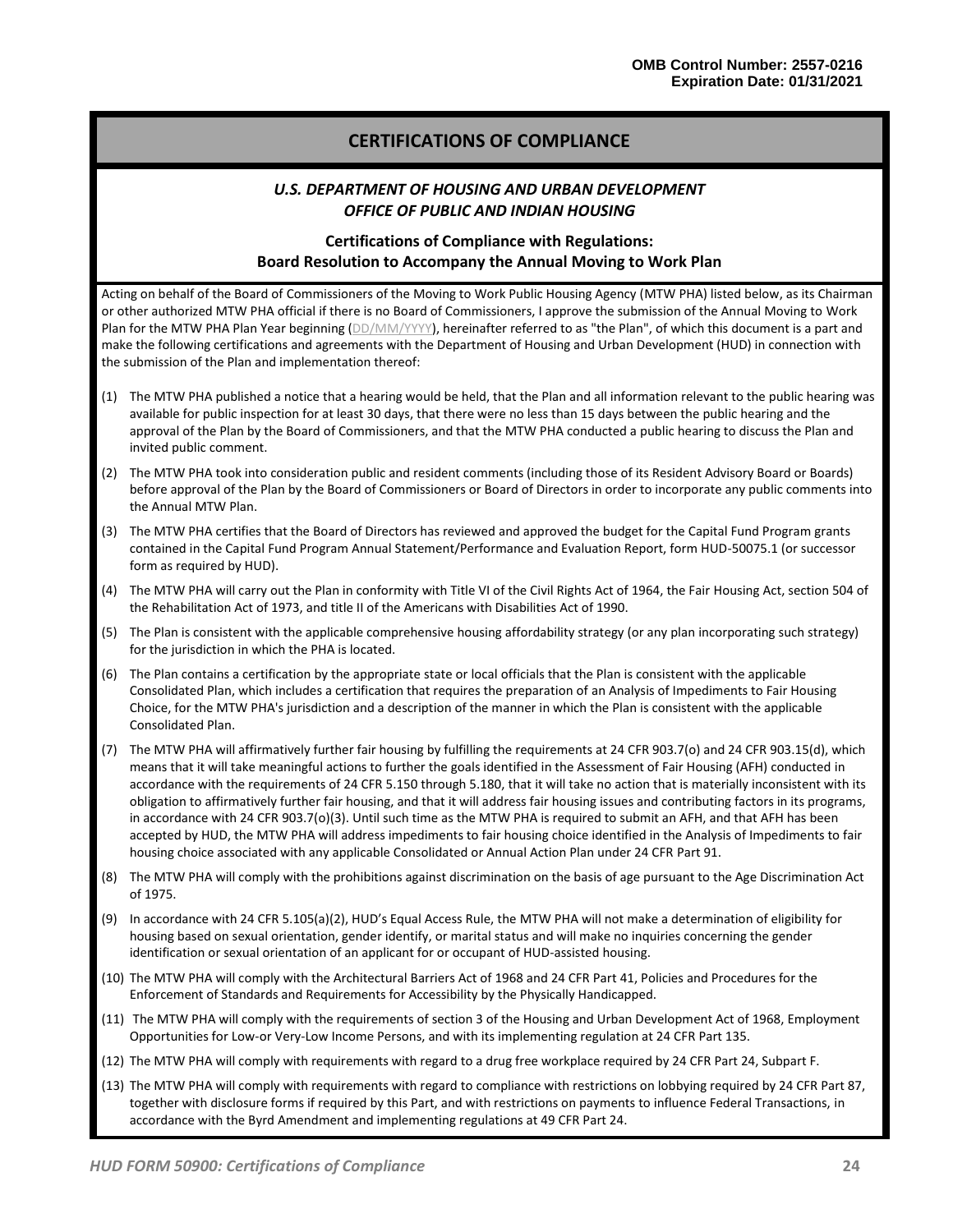# **CERTIFICATIONS OF COMPLIANCE**

### *U.S. DEPARTMENT OF HOUSING AND URBAN DEVELOPMENT OFFICE OF PUBLIC AND INDIAN HOUSING*

# **Certifications of Compliance with Regulations: Board Resolution to Accompany the Annual Moving to Work Plan**

Acting on behalf of the Board of Commissioners of the Moving to Work Public Housing Agency (MTW PHA) listed below, as its Chairman or other authorized MTW PHA official if there is no Board of Commissioners, I approve the submission of the Annual Moving to Work Plan for the MTW PHA Plan Year beginning (DD/MM/YYYY), hereinafter referred to as "the Plan", of which this document is a part and make the following certifications and agreements with the Department of Housing and Urban Development (HUD) in connection with the submission of the Plan and implementation thereof:

- (1) The MTW PHA published a notice that a hearing would be held, that the Plan and all information relevant to the public hearing was available for public inspection for at least 30 days, that there were no less than 15 days between the public hearing and the approval of the Plan by the Board of Commissioners, and that the MTW PHA conducted a public hearing to discuss the Plan and invited public comment.
- (2) The MTW PHA took into consideration public and resident comments (including those of its Resident Advisory Board or Boards) before approval of the Plan by the Board of Commissioners or Board of Directors in order to incorporate any public comments into the Annual MTW Plan.
- (3) The MTW PHA certifies that the Board of Directors has reviewed and approved the budget for the Capital Fund Program grants contained in the Capital Fund Program Annual Statement/Performance and Evaluation Report, form HUD-50075.1 (or successor form as required by HUD).
- (4) The MTW PHA will carry out the Plan in conformity with Title VI of the Civil Rights Act of 1964, the Fair Housing Act, section 504 of the Rehabilitation Act of 1973, and title II of the Americans with Disabilities Act of 1990.
- (5) The Plan is consistent with the applicable comprehensive housing affordability strategy (or any plan incorporating such strategy) for the jurisdiction in which the PHA is located.
- (6) The Plan contains a certification by the appropriate state or local officials that the Plan is consistent with the applicable Consolidated Plan, which includes a certification that requires the preparation of an Analysis of Impediments to Fair Housing Choice, for the MTW PHA's jurisdiction and a description of the manner in which the Plan is consistent with the applicable Consolidated Plan.
- (7) The MTW PHA will affirmatively further fair housing by fulfilling the requirements at 24 CFR 903.7(o) and 24 CFR 903.15(d), which means that it will take meaningful actions to further the goals identified in the Assessment of Fair Housing (AFH) conducted in accordance with the requirements of 24 CFR 5.150 through 5.180, that it will take no action that is materially inconsistent with its obligation to affirmatively further fair housing, and that it will address fair housing issues and contributing factors in its programs, in accordance with 24 CFR 903.7(o)(3). Until such time as the MTW PHA is required to submit an AFH, and that AFH has been accepted by HUD, the MTW PHA will address impediments to fair housing choice identified in the Analysis of Impediments to fair housing choice associated with any applicable Consolidated or Annual Action Plan under 24 CFR Part 91.
- (8) The MTW PHA will comply with the prohibitions against discrimination on the basis of age pursuant to the Age Discrimination Act of 1975.
- (9) In accordance with 24 CFR 5.105(a)(2), HUD's Equal Access Rule, the MTW PHA will not make a determination of eligibility for housing based on sexual orientation, gender identify, or marital status and will make no inquiries concerning the gender identification or sexual orientation of an applicant for or occupant of HUD-assisted housing.
- (10) The MTW PHA will comply with the Architectural Barriers Act of 1968 and 24 CFR Part 41, Policies and Procedures for the Enforcement of Standards and Requirements for Accessibility by the Physically Handicapped.
- (11) The MTW PHA will comply with the requirements of section 3 of the Housing and Urban Development Act of 1968, Employment Opportunities for Low-or Very-Low Income Persons, and with its implementing regulation at 24 CFR Part 135.
- (12) The MTW PHA will comply with requirements with regard to a drug free workplace required by 24 CFR Part 24, Subpart F.
- (13) The MTW PHA will comply with requirements with regard to compliance with restrictions on lobbying required by 24 CFR Part 87, together with disclosure forms if required by this Part, and with restrictions on payments to influence Federal Transactions, in accordance with the Byrd Amendment and implementing regulations at 49 CFR Part 24.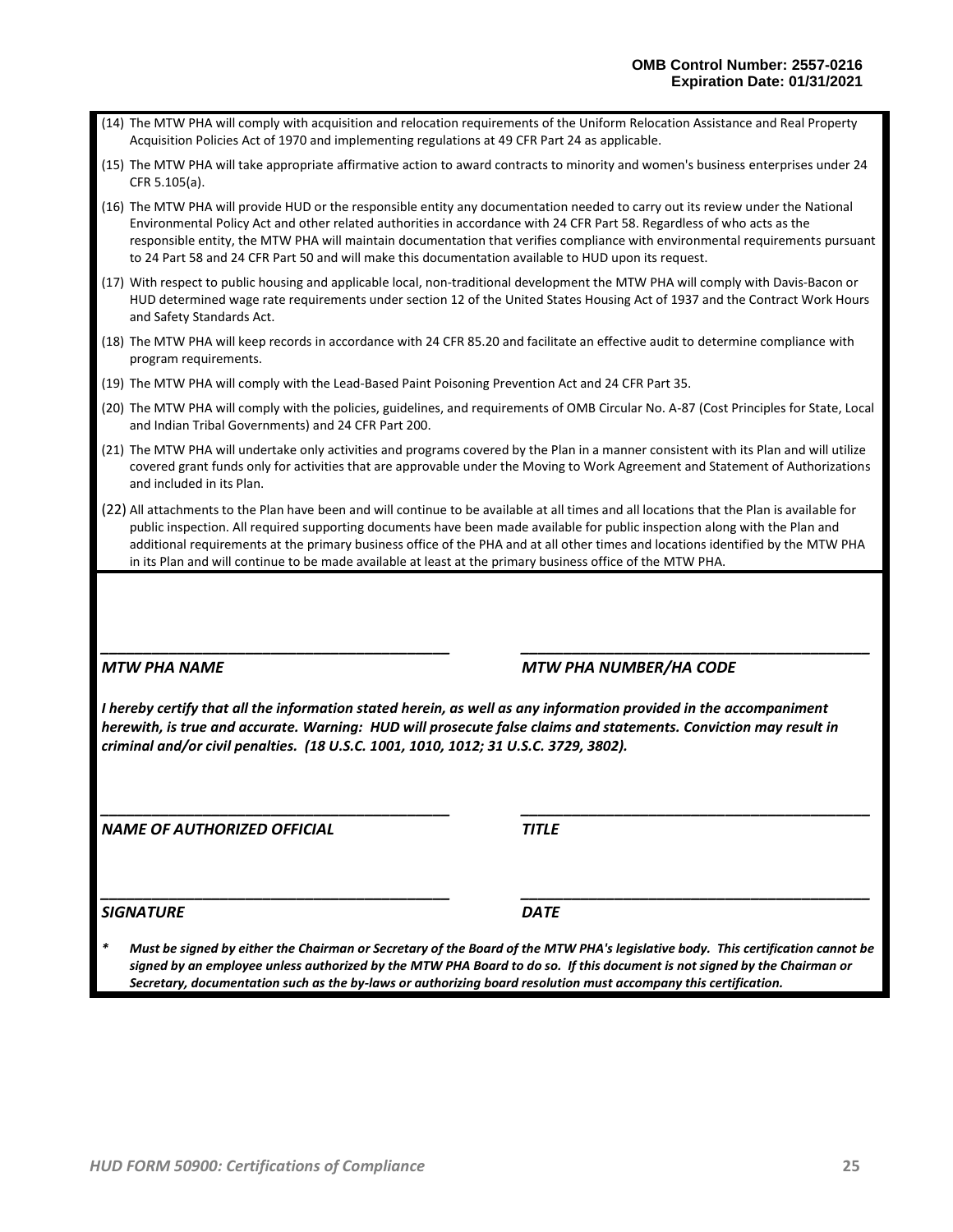| (14) The MTW PHA will comply with acquisition and relocation requirements of the Uniform Relocation Assistance and Real Property |
|----------------------------------------------------------------------------------------------------------------------------------|
| Acquisition Policies Act of 1970 and implementing regulations at 49 CFR Part 24 as applicable.                                   |

(15) The MTW PHA will take appropriate affirmative action to award contracts to minority and women's business enterprises under 24 CFR 5.105(a).

(16) The MTW PHA will provide HUD or the responsible entity any documentation needed to carry out its review under the National Environmental Policy Act and other related authorities in accordance with 24 CFR Part 58. Regardless of who acts as the responsible entity, the MTW PHA will maintain documentation that verifies compliance with environmental requirements pursuant to 24 Part 58 and 24 CFR Part 50 and will make this documentation available to HUD upon its request.

(17) With respect to public housing and applicable local, non-traditional development the MTW PHA will comply with Davis-Bacon or HUD determined wage rate requirements under section 12 of the United States Housing Act of 1937 and the Contract Work Hours and Safety Standards Act.

- (18) The MTW PHA will keep records in accordance with 24 CFR 85.20 and facilitate an effective audit to determine compliance with program requirements.
- (19) The MTW PHA will comply with the Lead-Based Paint Poisoning Prevention Act and 24 CFR Part 35.
- (20) The MTW PHA will comply with the policies, guidelines, and requirements of OMB Circular No. A-87 (Cost Principles for State, Local and Indian Tribal Governments) and 24 CFR Part 200.
- (21) The MTW PHA will undertake only activities and programs covered by the Plan in a manner consistent with its Plan and will utilize covered grant funds only for activities that are approvable under the Moving to Work Agreement and Statement of Authorizations and included in its Plan.
- (22) All attachments to the Plan have been and will continue to be available at all times and all locations that the Plan is available for public inspection. All required supporting documents have been made available for public inspection along with the Plan and additional requirements at the primary business office of the PHA and at all other times and locations identified by the MTW PHA in its Plan and will continue to be made available at least at the primary business office of the MTW PHA.

*\_\_\_\_\_\_\_\_\_\_\_\_\_\_\_\_\_\_\_\_\_\_\_\_\_\_\_\_\_\_\_\_\_\_\_\_\_\_\_\_\_ \_\_\_\_\_\_\_\_\_\_\_\_\_\_\_\_\_\_\_\_\_\_\_\_\_\_\_\_\_\_\_\_\_\_\_\_\_\_\_\_\_*

## *MTW PHA NAME MTW PHA NUMBER/HA CODE*

*I hereby certify that all the information stated herein, as well as any information provided in the accompaniment herewith, is true and accurate. Warning: HUD will prosecute false claims and statements. Conviction may result in criminal and/or civil penalties. (18 U.S.C. 1001, 1010, 1012; 31 U.S.C. 3729, 3802).*

*\_\_\_\_\_\_\_\_\_\_\_\_\_\_\_\_\_\_\_\_\_\_\_\_\_\_\_\_\_\_\_\_\_\_\_\_\_\_\_\_\_ \_\_\_\_\_\_\_\_\_\_\_\_\_\_\_\_\_\_\_\_\_\_\_\_\_\_\_\_\_\_\_\_\_\_\_\_\_\_\_\_\_*

*NAME OF AUTHORIZED OFFICIAL TITLE*

*\_\_\_\_\_\_\_\_\_\_\_\_\_\_\_\_\_\_\_\_\_\_\_\_\_\_\_\_\_\_\_\_\_\_\_\_\_\_\_\_\_ \_\_\_\_\_\_\_\_\_\_\_\_\_\_\_\_\_\_\_\_\_\_\_\_\_\_\_\_\_\_\_\_\_\_\_\_\_\_\_\_\_*

*SIGNATURE DATE*

*\* Must be signed by either the Chairman or Secretary of the Board of the MTW PHA's legislative body. This certification cannot be signed by an employee unless authorized by the MTW PHA Board to do so. If this document is not signed by the Chairman or Secretary, documentation such as the by-laws or authorizing board resolution must accompany this certification.*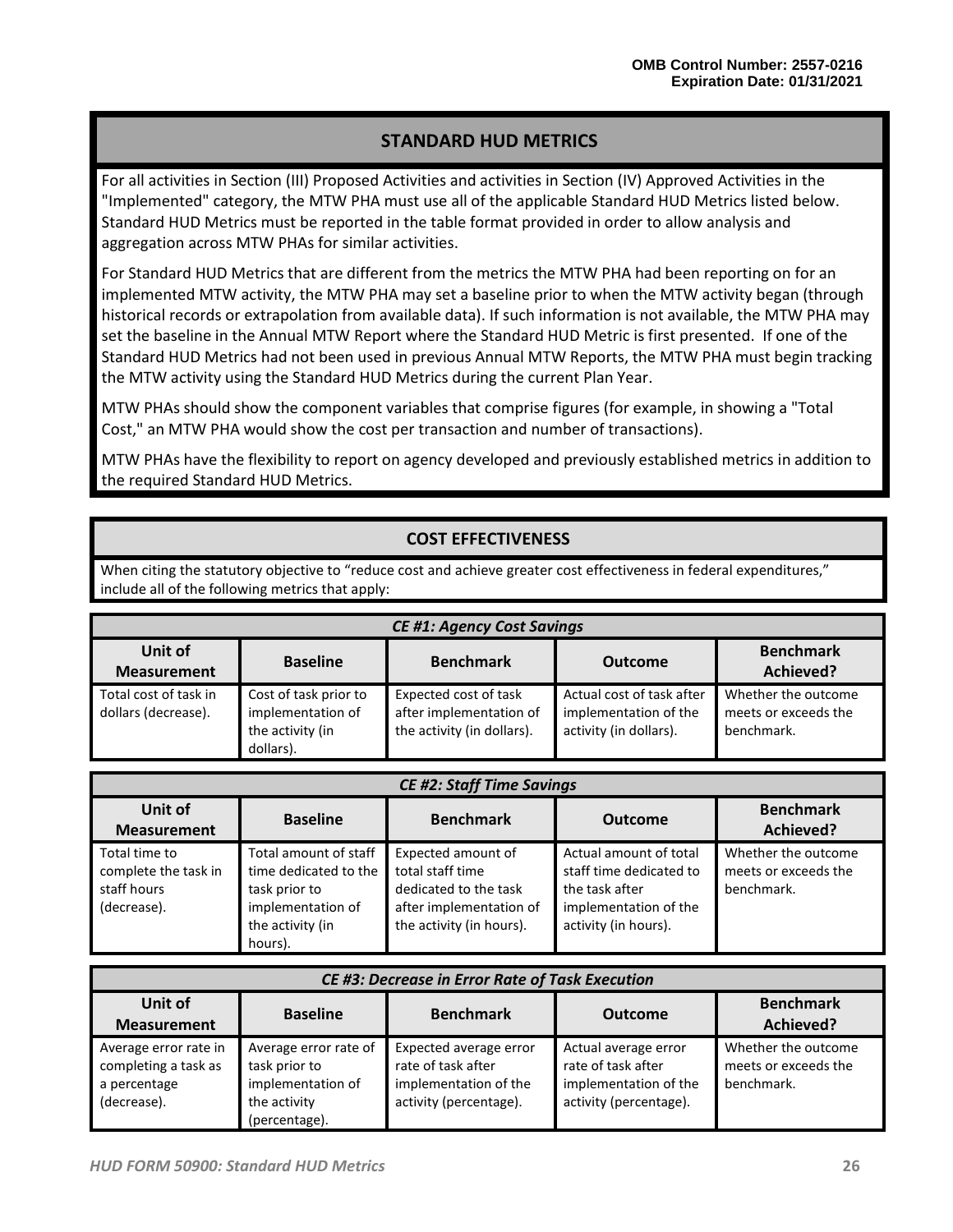# **STANDARD HUD METRICS**

For all activities in Section (III) Proposed Activities and activities in Section (IV) Approved Activities in the "Implemented" category, the MTW PHA must use all of the applicable Standard HUD Metrics listed below. Standard HUD Metrics must be reported in the table format provided in order to allow analysis and aggregation across MTW PHAs for similar activities.

For Standard HUD Metrics that are different from the metrics the MTW PHA had been reporting on for an implemented MTW activity, the MTW PHA may set a baseline prior to when the MTW activity began (through historical records or extrapolation from available data). If such information is not available, the MTW PHA may set the baseline in the Annual MTW Report where the Standard HUD Metric is first presented. If one of the Standard HUD Metrics had not been used in previous Annual MTW Reports, the MTW PHA must begin tracking the MTW activity using the Standard HUD Metrics during the current Plan Year.

MTW PHAs should show the component variables that comprise figures (for example, in showing a "Total Cost," an MTW PHA would show the cost per transaction and number of transactions).

MTW PHAs have the flexibility to report on agency developed and previously established metrics in addition to the required Standard HUD Metrics.

# **COST EFFECTIVENESS**

When citing the statutory objective to "reduce cost and achieve greater cost effectiveness in federal expenditures," include all of the following metrics that apply:

| <b>CE #1: Agency Cost Savings</b>                                                                                       |                                                                             |                                                                                |                                                                              |                                                           |  |
|-------------------------------------------------------------------------------------------------------------------------|-----------------------------------------------------------------------------|--------------------------------------------------------------------------------|------------------------------------------------------------------------------|-----------------------------------------------------------|--|
| Unit of<br><b>Benchmark</b><br><b>Benchmark</b><br><b>Baseline</b><br><b>Outcome</b><br>Achieved?<br><b>Measurement</b> |                                                                             |                                                                                |                                                                              |                                                           |  |
| Total cost of task in<br>dollars (decrease).                                                                            | Cost of task prior to<br>implementation of<br>the activity (in<br>dollars). | Expected cost of task<br>after implementation of<br>the activity (in dollars). | Actual cost of task after<br>implementation of the<br>activity (in dollars). | Whether the outcome<br>meets or exceeds the<br>benchmark. |  |

| <b>CE #2: Staff Time Savings</b>                                    |                                                                                                                     |                                                                                                                        |                                                                                                                      |                                                           |  |
|---------------------------------------------------------------------|---------------------------------------------------------------------------------------------------------------------|------------------------------------------------------------------------------------------------------------------------|----------------------------------------------------------------------------------------------------------------------|-----------------------------------------------------------|--|
| Unit of<br><b>Measurement</b>                                       | <b>Baseline</b>                                                                                                     | <b>Benchmark</b>                                                                                                       | <b>Outcome</b>                                                                                                       | <b>Benchmark</b><br>Achieved?                             |  |
| Total time to<br>complete the task in<br>staff hours<br>(decrease). | Total amount of staff<br>time dedicated to the<br>task prior to<br>implementation of<br>the activity (in<br>hours). | Expected amount of<br>total staff time<br>dedicated to the task<br>after implementation of<br>the activity (in hours). | Actual amount of total<br>staff time dedicated to<br>the task after<br>implementation of the<br>activity (in hours). | Whether the outcome<br>meets or exceeds the<br>benchmark. |  |

| CE #3: Decrease in Error Rate of Task Execution                              |                                                                                              |                                                                                                 |                                                                                               |                                                           |  |  |
|------------------------------------------------------------------------------|----------------------------------------------------------------------------------------------|-------------------------------------------------------------------------------------------------|-----------------------------------------------------------------------------------------------|-----------------------------------------------------------|--|--|
| Unit of<br><b>Measurement</b>                                                | <b>Baseline</b>                                                                              | <b>Benchmark</b>                                                                                | <b>Outcome</b>                                                                                | <b>Benchmark</b><br>Achieved?                             |  |  |
| Average error rate in<br>completing a task as<br>a percentage<br>(decrease). | Average error rate of<br>task prior to<br>implementation of<br>the activity<br>(percentage). | Expected average error<br>rate of task after<br>implementation of the<br>activity (percentage). | Actual average error<br>rate of task after<br>implementation of the<br>activity (percentage). | Whether the outcome<br>meets or exceeds the<br>benchmark. |  |  |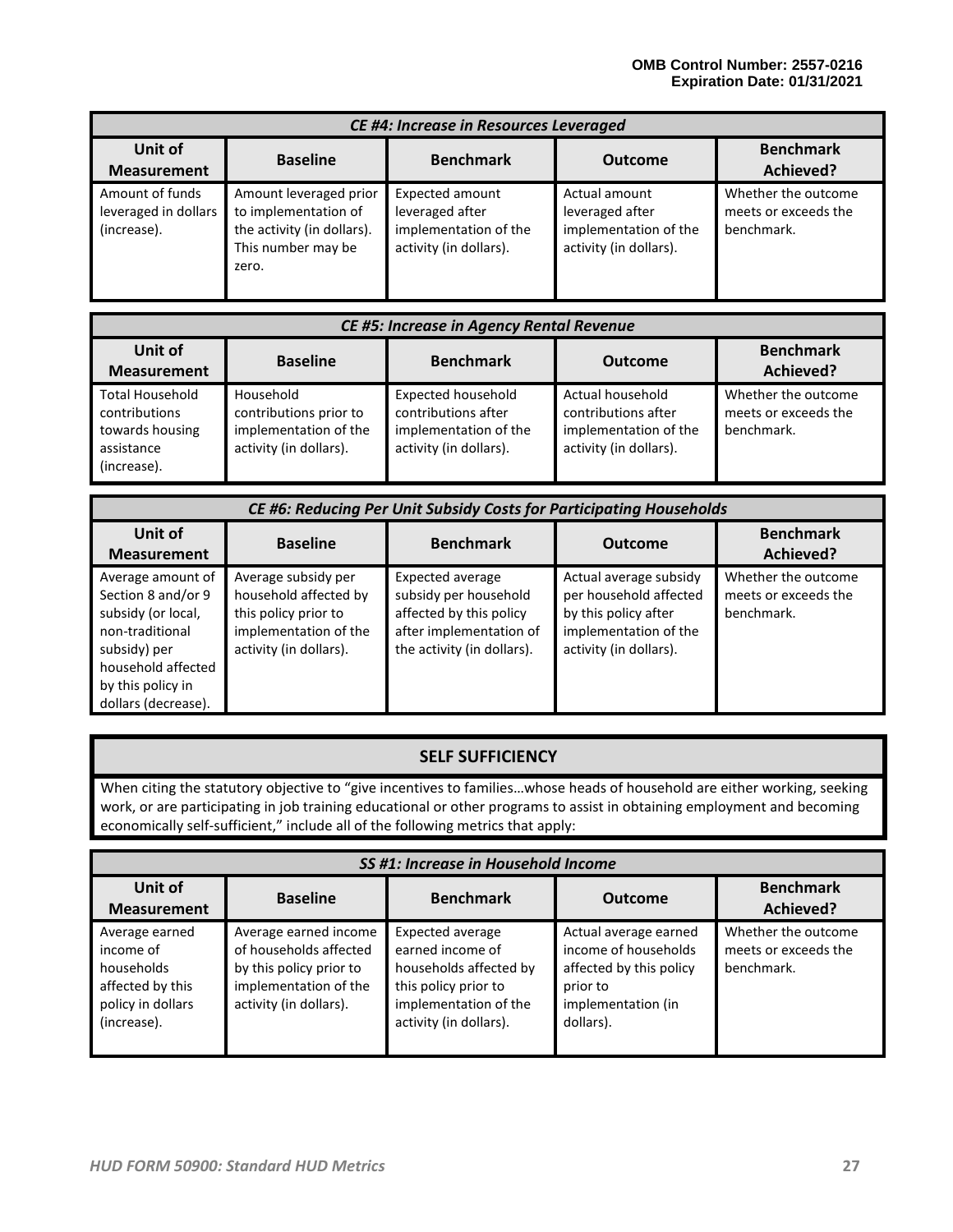| <b>CE #4: Increase in Resources Leveraged</b>          |                                                                                                             |                                                                                              |                                                                                     |                                                           |  |  |
|--------------------------------------------------------|-------------------------------------------------------------------------------------------------------------|----------------------------------------------------------------------------------------------|-------------------------------------------------------------------------------------|-----------------------------------------------------------|--|--|
| Unit of<br><b>Measurement</b>                          | <b>Benchmark</b><br>Achieved?                                                                               |                                                                                              |                                                                                     |                                                           |  |  |
| Amount of funds<br>leveraged in dollars<br>(increase). | Amount leveraged prior<br>to implementation of<br>the activity (in dollars).<br>This number may be<br>zero. | <b>Expected amount</b><br>leveraged after<br>implementation of the<br>activity (in dollars). | Actual amount<br>leveraged after<br>implementation of the<br>activity (in dollars). | Whether the outcome<br>meets or exceeds the<br>benchmark. |  |  |

| <b>CE #5: Increase in Agency Rental Revenue</b>                                         |                                                                                        |                                                                                                     |                                                                                            |                                                           |
|-----------------------------------------------------------------------------------------|----------------------------------------------------------------------------------------|-----------------------------------------------------------------------------------------------------|--------------------------------------------------------------------------------------------|-----------------------------------------------------------|
| Unit of<br><b>Measurement</b>                                                           | <b>Baseline</b>                                                                        | <b>Benchmark</b>                                                                                    | <b>Outcome</b>                                                                             | <b>Benchmark</b><br>Achieved?                             |
| <b>Total Household</b><br>contributions<br>towards housing<br>assistance<br>(increase). | Household<br>contributions prior to<br>implementation of the<br>activity (in dollars). | <b>Expected household</b><br>contributions after<br>implementation of the<br>activity (in dollars). | Actual household<br>contributions after<br>implementation of the<br>activity (in dollars). | Whether the outcome<br>meets or exceeds the<br>benchmark. |

| CE #6: Reducing Per Unit Subsidy Costs for Participating Households                                                                                                |                                                                                                                         |                                                                                                                                      |                                                                                                                             |                                                           |
|--------------------------------------------------------------------------------------------------------------------------------------------------------------------|-------------------------------------------------------------------------------------------------------------------------|--------------------------------------------------------------------------------------------------------------------------------------|-----------------------------------------------------------------------------------------------------------------------------|-----------------------------------------------------------|
| Unit of<br><b>Measurement</b>                                                                                                                                      | <b>Baseline</b>                                                                                                         | <b>Benchmark</b>                                                                                                                     | <b>Outcome</b>                                                                                                              | <b>Benchmark</b><br>Achieved?                             |
| Average amount of<br>Section 8 and/or 9<br>subsidy (or local,<br>non-traditional<br>subsidy) per<br>household affected<br>by this policy in<br>dollars (decrease). | Average subsidy per<br>household affected by<br>this policy prior to<br>implementation of the<br>activity (in dollars). | <b>Expected average</b><br>subsidy per household<br>affected by this policy<br>after implementation of<br>the activity (in dollars). | Actual average subsidy<br>per household affected<br>by this policy after<br>implementation of the<br>activity (in dollars). | Whether the outcome<br>meets or exceeds the<br>benchmark. |

# **SELF SUFFICIENCY**

When citing the statutory objective to "give incentives to families…whose heads of household are either working, seeking work, or are participating in job training educational or other programs to assist in obtaining employment and becoming economically self-sufficient," include all of the following metrics that apply:

|                                                                                                   | SS #1: Increase in Household Income                                                                                           |                                                                                                                                           |                                                                                                                         |                                                           |  |
|---------------------------------------------------------------------------------------------------|-------------------------------------------------------------------------------------------------------------------------------|-------------------------------------------------------------------------------------------------------------------------------------------|-------------------------------------------------------------------------------------------------------------------------|-----------------------------------------------------------|--|
| Unit of<br><b>Measurement</b>                                                                     | <b>Baseline</b>                                                                                                               | <b>Benchmark</b>                                                                                                                          | <b>Outcome</b>                                                                                                          | <b>Benchmark</b><br>Achieved?                             |  |
| Average earned<br>income of<br>households<br>affected by this<br>policy in dollars<br>(increase). | Average earned income<br>of households affected<br>by this policy prior to<br>implementation of the<br>activity (in dollars). | Expected average<br>earned income of<br>households affected by<br>this policy prior to<br>implementation of the<br>activity (in dollars). | Actual average earned<br>income of households<br>affected by this policy<br>prior to<br>implementation (in<br>dollars). | Whether the outcome<br>meets or exceeds the<br>benchmark. |  |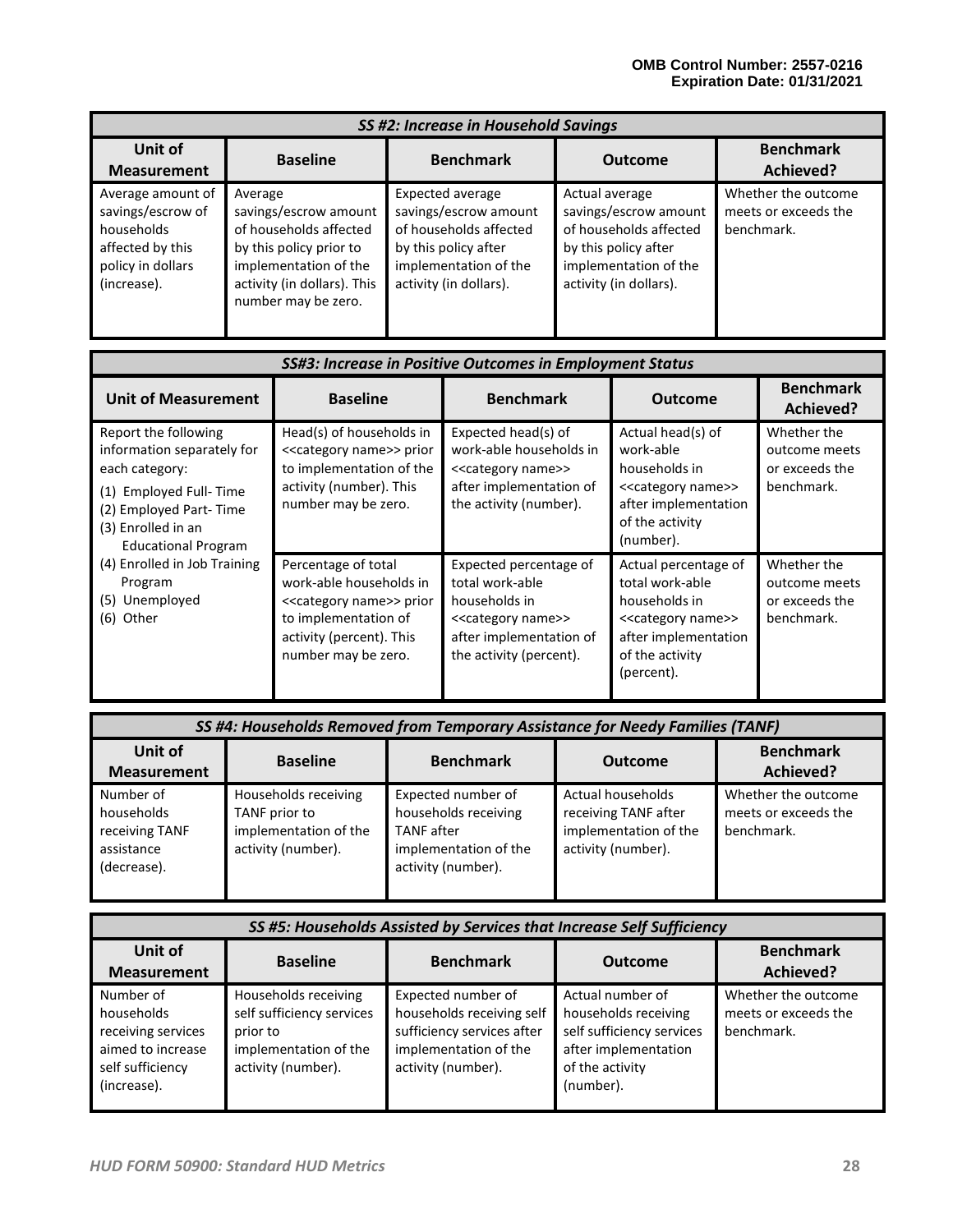| SS #2: Increase in Household Savings                                                                         |                                                                                                                                                                      |                                                                                                                                                |                                                                                                                                              |                                                           |
|--------------------------------------------------------------------------------------------------------------|----------------------------------------------------------------------------------------------------------------------------------------------------------------------|------------------------------------------------------------------------------------------------------------------------------------------------|----------------------------------------------------------------------------------------------------------------------------------------------|-----------------------------------------------------------|
| Unit of<br><b>Measurement</b>                                                                                | <b>Baseline</b>                                                                                                                                                      | <b>Benchmark</b>                                                                                                                               | <b>Outcome</b>                                                                                                                               | <b>Benchmark</b><br>Achieved?                             |
| Average amount of<br>savings/escrow of<br>households<br>affected by this<br>policy in dollars<br>(increase). | Average<br>savings/escrow amount<br>of households affected<br>by this policy prior to<br>implementation of the<br>activity (in dollars). This<br>number may be zero. | Expected average<br>savings/escrow amount<br>of households affected<br>by this policy after<br>implementation of the<br>activity (in dollars). | Actual average<br>savings/escrow amount<br>of households affected<br>by this policy after<br>implementation of the<br>activity (in dollars). | Whether the outcome<br>meets or exceeds the<br>benchmark. |

| SS#3: Increase in Positive Outcomes in Employment Status                                                                                                                        |                                                                                                                                                                           |                                                                                                                                                           |                                                                                                                                                             |                                                              |  |
|---------------------------------------------------------------------------------------------------------------------------------------------------------------------------------|---------------------------------------------------------------------------------------------------------------------------------------------------------------------------|-----------------------------------------------------------------------------------------------------------------------------------------------------------|-------------------------------------------------------------------------------------------------------------------------------------------------------------|--------------------------------------------------------------|--|
| <b>Unit of Measurement</b>                                                                                                                                                      | <b>Baseline</b>                                                                                                                                                           | <b>Benchmark</b>                                                                                                                                          | <b>Outcome</b>                                                                                                                                              | <b>Benchmark</b><br>Achieved?                                |  |
| Report the following<br>information separately for<br>each category:<br>Employed Full-Time<br>(1)<br>(2) Employed Part-Time<br>(3) Enrolled in an<br><b>Educational Program</b> | Head(s) of households in<br>< <category name="">&gt; prior<br/>to implementation of the<br/>activity (number). This<br/>number may be zero.</category>                    | Expected head(s) of<br>work-able households in<br>< <category name="">&gt;<br/>after implementation of<br/>the activity (number).</category>              | Actual head(s) of<br>work-able<br>households in<br>< <category name="">&gt;<br/>after implementation<br/>of the activity<br/>(number).</category>           | Whether the<br>outcome meets<br>or exceeds the<br>benchmark. |  |
| (4) Enrolled in Job Training<br>Program<br>(5) Unemployed<br>(6) Other                                                                                                          | Percentage of total<br>work-able households in<br>< <category name="">&gt; prior<br/>to implementation of<br/>activity (percent). This<br/>number may be zero.</category> | Expected percentage of<br>total work-able<br>households in<br>< <category name="">&gt;<br/>after implementation of<br/>the activity (percent).</category> | Actual percentage of<br>total work-able<br>households in<br>< <category name="">&gt;<br/>after implementation<br/>of the activity<br/>(percent).</category> | Whether the<br>outcome meets<br>or exceeds the<br>benchmark. |  |

|                                                                        | SS #4: Households Removed from Temporary Assistance for Needy Families (TANF)        |                                                                                                                |                                                                                          |                                                           |  |
|------------------------------------------------------------------------|--------------------------------------------------------------------------------------|----------------------------------------------------------------------------------------------------------------|------------------------------------------------------------------------------------------|-----------------------------------------------------------|--|
| Unit of<br><b>Measurement</b>                                          | <b>Baseline</b>                                                                      | <b>Benchmark</b>                                                                                               | <b>Outcome</b>                                                                           | <b>Benchmark</b><br>Achieved?                             |  |
| Number of<br>households<br>receiving TANF<br>assistance<br>(decrease). | Households receiving<br>TANF prior to<br>implementation of the<br>activity (number). | Expected number of<br>households receiving<br><b>TANF</b> after<br>implementation of the<br>activity (number). | Actual households<br>receiving TANF after<br>implementation of the<br>activity (number). | Whether the outcome<br>meets or exceeds the<br>benchmark. |  |

| SS #5: Households Assisted by Services that Increase Self Sufficiency                                 |                                                                                                              |                                                                                                                              |                                                                                                                               |                                                           |
|-------------------------------------------------------------------------------------------------------|--------------------------------------------------------------------------------------------------------------|------------------------------------------------------------------------------------------------------------------------------|-------------------------------------------------------------------------------------------------------------------------------|-----------------------------------------------------------|
| <b>Unit of</b><br><b>Measurement</b>                                                                  | <b>Baseline</b>                                                                                              | <b>Benchmark</b><br>Achieved?                                                                                                |                                                                                                                               |                                                           |
| Number of<br>households<br>receiving services<br>aimed to increase<br>self sufficiency<br>(increase). | Households receiving<br>self sufficiency services<br>prior to<br>implementation of the<br>activity (number). | Expected number of<br>households receiving self<br>sufficiency services after<br>implementation of the<br>activity (number). | Actual number of<br>households receiving<br>self sufficiency services<br>after implementation<br>of the activity<br>(number). | Whether the outcome<br>meets or exceeds the<br>benchmark. |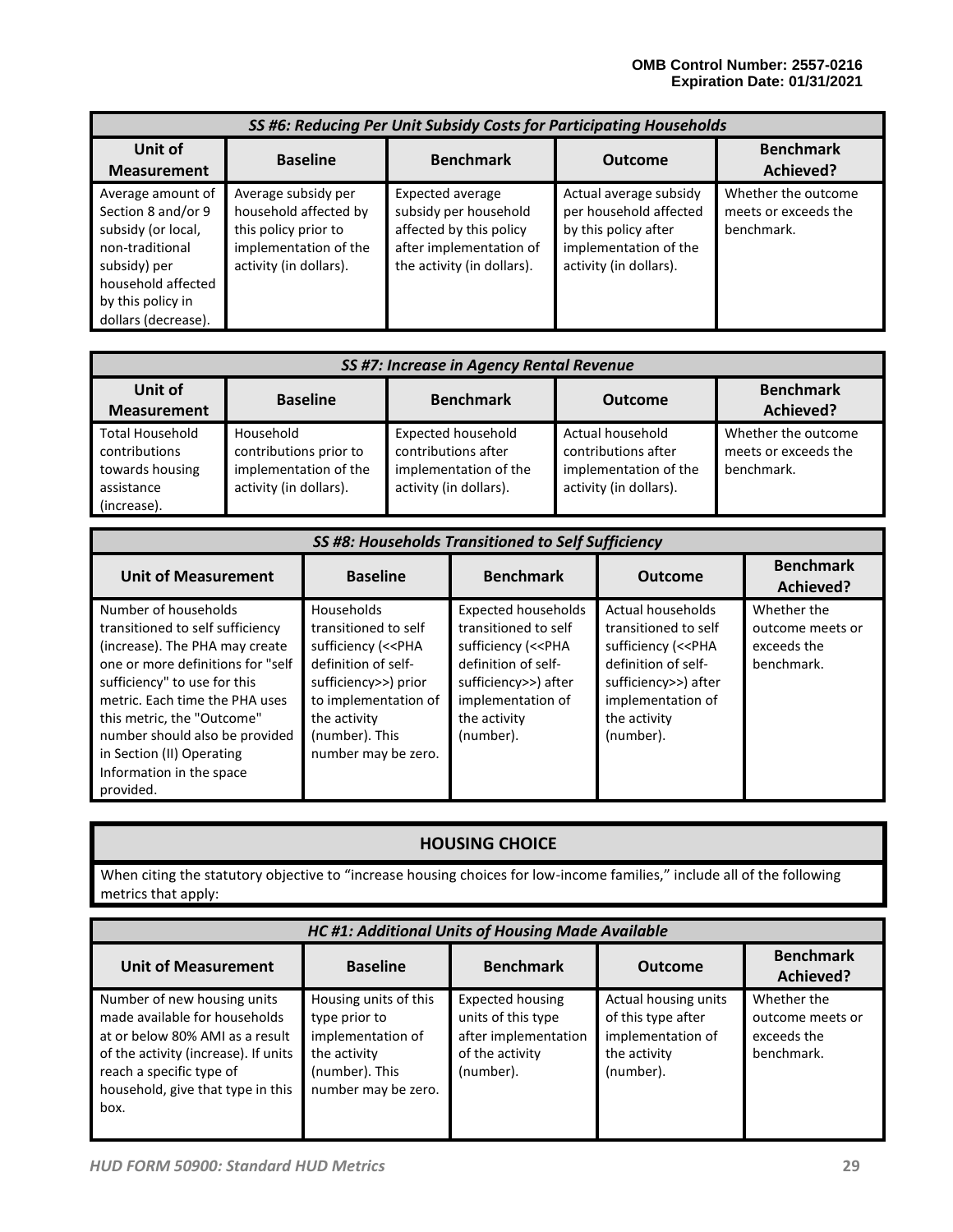|                                                                                                                                                                    | SS #6: Reducing Per Unit Subsidy Costs for Participating Households                                                     |                                                                                                                                      |                                                                                                                             |                                                           |  |
|--------------------------------------------------------------------------------------------------------------------------------------------------------------------|-------------------------------------------------------------------------------------------------------------------------|--------------------------------------------------------------------------------------------------------------------------------------|-----------------------------------------------------------------------------------------------------------------------------|-----------------------------------------------------------|--|
| Unit of<br><b>Measurement</b>                                                                                                                                      | <b>Baseline</b>                                                                                                         | <b>Benchmark</b>                                                                                                                     | <b>Outcome</b>                                                                                                              | <b>Benchmark</b><br>Achieved?                             |  |
| Average amount of<br>Section 8 and/or 9<br>subsidy (or local,<br>non-traditional<br>subsidy) per<br>household affected<br>by this policy in<br>dollars (decrease). | Average subsidy per<br>household affected by<br>this policy prior to<br>implementation of the<br>activity (in dollars). | <b>Expected average</b><br>subsidy per household<br>affected by this policy<br>after implementation of<br>the activity (in dollars). | Actual average subsidy<br>per household affected<br>by this policy after<br>implementation of the<br>activity (in dollars). | Whether the outcome<br>meets or exceeds the<br>benchmark. |  |

|                                                                                         | <b>SS #7: Increase in Agency Rental Revenue</b>                                        |                                                                                                     |                                                                                            |                                                           |  |  |
|-----------------------------------------------------------------------------------------|----------------------------------------------------------------------------------------|-----------------------------------------------------------------------------------------------------|--------------------------------------------------------------------------------------------|-----------------------------------------------------------|--|--|
| <b>Unit of</b><br><b>Measurement</b>                                                    | <b>Benchmark</b><br><b>Baseline</b><br><b>Benchmark</b><br><b>Outcome</b><br>Achieved? |                                                                                                     |                                                                                            |                                                           |  |  |
| <b>Total Household</b><br>contributions<br>towards housing<br>assistance<br>(increase). | Household<br>contributions prior to<br>implementation of the<br>activity (in dollars). | <b>Expected household</b><br>contributions after<br>implementation of the<br>activity (in dollars). | Actual household<br>contributions after<br>implementation of the<br>activity (in dollars). | Whether the outcome<br>meets or exceeds the<br>benchmark. |  |  |

| SS #8: Households Transitioned to Self Sufficiency                                                                                                                                                                                                                                                                                      |                                                                                                                                                                                                               |                                                                                                                                                                                               |                                                                                                                                                                                      |                                                              |
|-----------------------------------------------------------------------------------------------------------------------------------------------------------------------------------------------------------------------------------------------------------------------------------------------------------------------------------------|---------------------------------------------------------------------------------------------------------------------------------------------------------------------------------------------------------------|-----------------------------------------------------------------------------------------------------------------------------------------------------------------------------------------------|--------------------------------------------------------------------------------------------------------------------------------------------------------------------------------------|--------------------------------------------------------------|
| <b>Unit of Measurement</b>                                                                                                                                                                                                                                                                                                              | <b>Baseline</b>                                                                                                                                                                                               | <b>Benchmark</b>                                                                                                                                                                              | <b>Outcome</b>                                                                                                                                                                       | <b>Benchmark</b><br>Achieved?                                |
| Number of households<br>transitioned to self sufficiency<br>(increase). The PHA may create<br>one or more definitions for "self<br>sufficiency" to use for this<br>metric. Each time the PHA uses<br>this metric, the "Outcome"<br>number should also be provided<br>in Section (II) Operating<br>Information in the space<br>provided. | Households<br>transitioned to self<br>sufficiency (< <pha<br>definition of self-<br/>sufficiency&gt;&gt;) prior<br/>to implementation of<br/>the activity<br/>(number). This<br/>number may be zero.</pha<br> | <b>Expected households</b><br>transitioned to self<br>sufficiency (< <pha<br>definition of self-<br/>sufficiency&gt;&gt;) after<br/>implementation of<br/>the activity<br/>(number).</pha<br> | Actual households<br>transitioned to self<br>sufficiency (< <pha<br>definition of self-<br/>sufficiency&gt;&gt;) after<br/>implementation of<br/>the activity<br/>(number).</pha<br> | Whether the<br>outcome meets or<br>exceeds the<br>benchmark. |

# **HOUSING CHOICE**

When citing the statutory objective to "increase housing choices for low-income families," include all of the following metrics that apply:

| <b>HC #1: Additional Units of Housing Made Available</b>                                                                                                                                                         |                                                                                                                      |                                                                                                       |                                                                                              |                                                              |
|------------------------------------------------------------------------------------------------------------------------------------------------------------------------------------------------------------------|----------------------------------------------------------------------------------------------------------------------|-------------------------------------------------------------------------------------------------------|----------------------------------------------------------------------------------------------|--------------------------------------------------------------|
| <b>Unit of Measurement</b>                                                                                                                                                                                       | <b>Baseline</b>                                                                                                      | <b>Benchmark</b>                                                                                      | <b>Outcome</b>                                                                               | <b>Benchmark</b><br>Achieved?                                |
| Number of new housing units<br>made available for households<br>at or below 80% AMI as a result<br>of the activity (increase). If units<br>reach a specific type of<br>household, give that type in this<br>box. | Housing units of this<br>type prior to<br>implementation of<br>the activity<br>(number). This<br>number may be zero. | <b>Expected housing</b><br>units of this type<br>after implementation<br>of the activity<br>(number). | Actual housing units<br>of this type after<br>implementation of<br>the activity<br>(number). | Whether the<br>outcome meets or<br>exceeds the<br>benchmark. |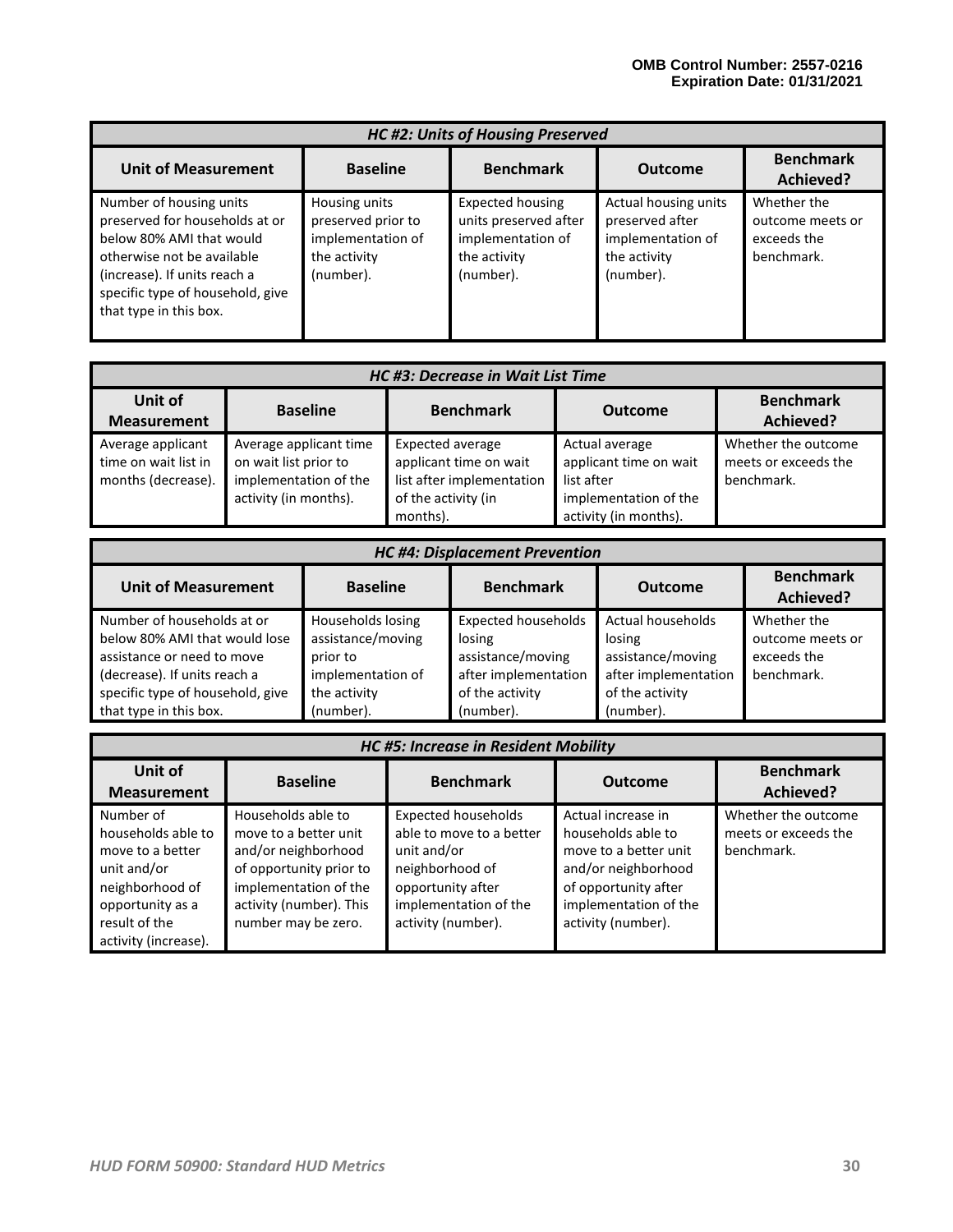| <b>HC #2: Units of Housing Preserved</b>                                                                                                                                                                          |                                                                                       |                                                                                                    |                                                                                           |                                                              |
|-------------------------------------------------------------------------------------------------------------------------------------------------------------------------------------------------------------------|---------------------------------------------------------------------------------------|----------------------------------------------------------------------------------------------------|-------------------------------------------------------------------------------------------|--------------------------------------------------------------|
| <b>Unit of Measurement</b>                                                                                                                                                                                        | <b>Baseline</b>                                                                       | <b>Benchmark</b>                                                                                   | <b>Outcome</b>                                                                            | <b>Benchmark</b><br>Achieved?                                |
| Number of housing units<br>preserved for households at or<br>below 80% AMI that would<br>otherwise not be available<br>(increase). If units reach a<br>specific type of household, give<br>that type in this box. | Housing units<br>preserved prior to<br>implementation of<br>the activity<br>(number). | <b>Expected housing</b><br>units preserved after<br>implementation of<br>the activity<br>(number). | Actual housing units<br>preserved after<br>implementation of<br>the activity<br>(number). | Whether the<br>outcome meets or<br>exceeds the<br>benchmark. |

| HC #3: Decrease in Wait List Time                               |                                                                                                   |                                                                                                            |                                                                                                          |                                                           |
|-----------------------------------------------------------------|---------------------------------------------------------------------------------------------------|------------------------------------------------------------------------------------------------------------|----------------------------------------------------------------------------------------------------------|-----------------------------------------------------------|
| Unit of<br><b>Measurement</b>                                   | <b>Baseline</b>                                                                                   | <b>Benchmark</b>                                                                                           | <b>Outcome</b>                                                                                           | <b>Benchmark</b><br>Achieved?                             |
| Average applicant<br>time on wait list in<br>months (decrease). | Average applicant time<br>on wait list prior to<br>implementation of the<br>activity (in months). | Expected average<br>applicant time on wait<br>list after implementation<br>of the activity (in<br>months). | Actual average<br>applicant time on wait<br>list after<br>implementation of the<br>activity (in months). | Whether the outcome<br>meets or exceeds the<br>benchmark. |

| <b>HC #4: Displacement Prevention</b> |                   |                            |                      |                               |
|---------------------------------------|-------------------|----------------------------|----------------------|-------------------------------|
| <b>Unit of Measurement</b>            | <b>Baseline</b>   | <b>Benchmark</b>           | <b>Outcome</b>       | <b>Benchmark</b><br>Achieved? |
| Number of households at or            | Households losing | <b>Expected households</b> | Actual households    | Whether the                   |
| below 80% AMI that would lose         | assistance/moving | losing                     | losing               | outcome meets or              |
| assistance or need to move            | prior to          | assistance/moving          | assistance/moving    | exceeds the                   |
| (decrease). If units reach a          | implementation of | after implementation       | after implementation | benchmark.                    |
| specific type of household, give      | the activity      | of the activity            | of the activity      |                               |
| that type in this box.                | (number).         | (number).                  | (number).            |                               |

| <b>HC #5: Increase in Resident Mobility</b>                                                                                                        |                                                                                                                                                                          |                                                                                                                                                              |                                                                                                                                                                 |                                                           |
|----------------------------------------------------------------------------------------------------------------------------------------------------|--------------------------------------------------------------------------------------------------------------------------------------------------------------------------|--------------------------------------------------------------------------------------------------------------------------------------------------------------|-----------------------------------------------------------------------------------------------------------------------------------------------------------------|-----------------------------------------------------------|
| Unit of<br><b>Measurement</b>                                                                                                                      | <b>Baseline</b>                                                                                                                                                          | <b>Benchmark</b>                                                                                                                                             | <b>Outcome</b>                                                                                                                                                  | <b>Benchmark</b><br>Achieved?                             |
| Number of<br>households able to<br>move to a better<br>unit and/or<br>neighborhood of<br>opportunity as a<br>result of the<br>activity (increase). | Households able to<br>move to a better unit<br>and/or neighborhood<br>of opportunity prior to<br>implementation of the<br>activity (number). This<br>number may be zero. | <b>Expected households</b><br>able to move to a better<br>unit and/or<br>neighborhood of<br>opportunity after<br>implementation of the<br>activity (number). | Actual increase in<br>households able to<br>move to a better unit<br>and/or neighborhood<br>of opportunity after<br>implementation of the<br>activity (number). | Whether the outcome<br>meets or exceeds the<br>benchmark. |